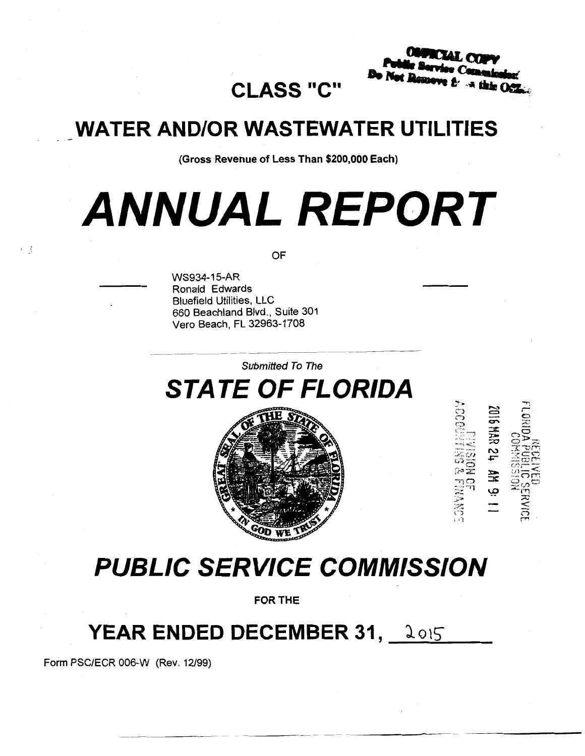# **CLASS "C"**

# **WATER AND/OR WASTEWATER UTILITIES**

(Gross Revenue of Less Than \$200,000 Each)

# **ANNUAL REPORT**

OF

WS934-15-AR Ronald Edwards Bluefield Utilities, LLC 660 Beachland Blvd., Suite 301 Vero Beach, FL 32963-1708

Submitted To The

**STATE OF FLORIDA** 



 $-\overline{q}$  $\approx$   $^{\prime\prime}$  $\sim$ ::~·~ '..·-,

<sup>~</sup><sup>1</sup>'j

# **PUBLIC SERVICE COMMISSION**

FOR THE

# **YEAR ENDED DECEMBER 31, 2015**

Form PSC/ECR 006-W (Rev. 12/99)

红素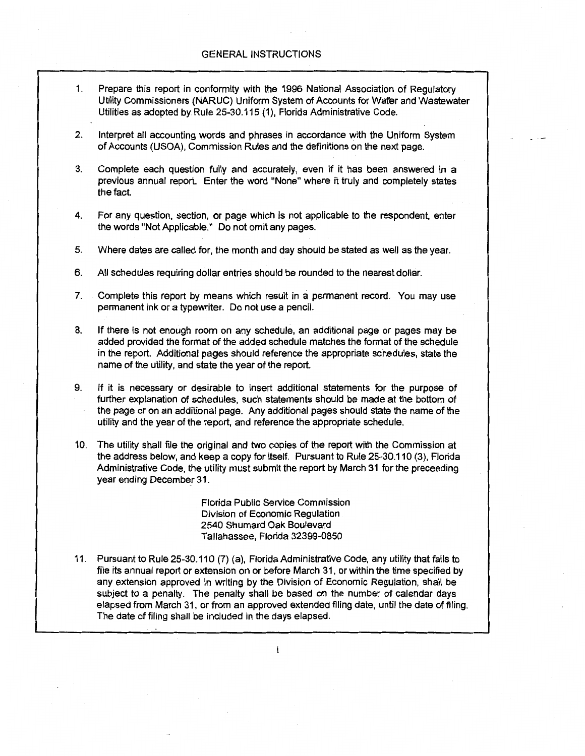- 1. Prepare this report in conformity with the 1996 National Association of Regulatory Utility Commissioners (NARUC) Uniform System of Accounts for Wafer and Wastewater Utilities as adopted by Rule 25-30.115 (1 ), Florida Administrative Code.
- 2. Interpret all accounting words and phrases in accordance with the Uniform System of Accounts (USOA), Commission Rules and the definitions on the next page.
- 3. Complete each question fully and accurately, even if it has been answered in a previous annual report. Enter the word "None" where it truly and completely states the fact.
- 4. For any question, section, or page which is not applicable to the respondent, enter the words "Not Applicable." Do not omit any pages.
- 5. Where dates are called for, the month and day should be stated as well as the year.
- 6. All schedules requiring dollar entries should be rounded to the nearest dollar.
- 7. Complete this report by means which result in a permanent record. You may use permanent ink or a typewriter. Do not use a pencil.
- 8. If there is not enough room on any schedule, an additional page or pages may be added provided the format of the added schedule matches the format of the schedule in the report. Additional pages should reference the appropriate schedules, state the name of the utility, and state the year of the report.
- 9. If it is necessary or desirable to insert additional statements for the purpose of further explanation of schedules, such statements should be made at the bottom of the page or on an additional page. Any additional pages should state the name of the utility and the year of the report, and reference the appropriate schedule.
- 10. The utility shall file the original and two copies of the report with the Commission at the address below, and keep a copy for itself. Pursuant to Rule 25-30.110 (3), Florida Administrative Code, the utility must submit the report by March 31 for the preceeding year ending December 31.

Florida Public Service Commission Division of Economic Regulation 2540 Shumard Oak Boulevard Tallahassee, Florida 32399-0850

11. Pursuant to Rule 25-30.110 (7) (a), Florida Administrative Code, any utility that fails to file its annual report or extension on or before March 31, or within the time specified by any extension approved in writing by the Division of Economic Regulation, shall be subject to a penalty. The penalty shall be based on the number of calendar days elapsed from March 31, or from an approved extended filing date, until the date of filing. The date of filing shall be included in the days elapsed.

i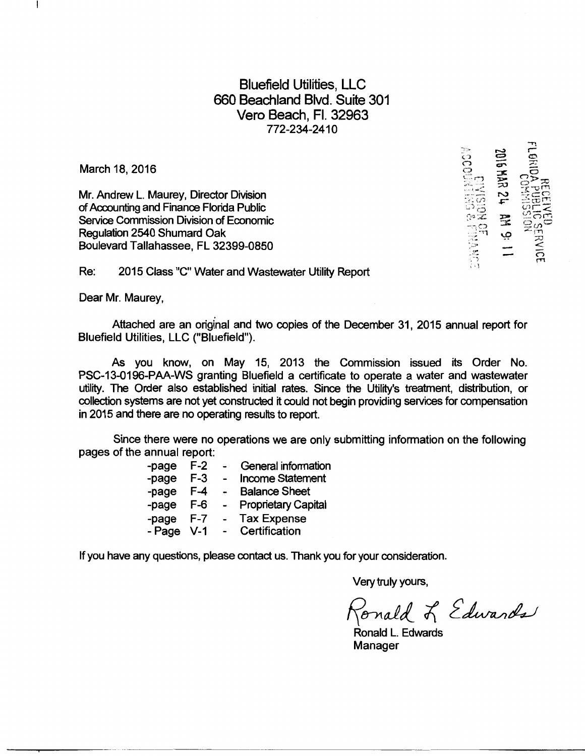Bluefield Utilities, LLC 660 Beachland Blvd. Suite 301 Vera Beach, Fl. 32963 772-234-2410

March 18, 2016

ł

Mr. Andrew L. Maurey, Director Division of Accounting and Finance Florida Public Service Commission Division of Economic Regulation 2540 Shumard Oak Boulevard Tallahassee, FL 32399-0850

-<br>第16  $\mathbb{C}$   $\rightarrow$  $\mathbb{R}^2$  de  $\mathbb{R}^{n+1}$  $\mathbb{R}^n$ <sup>1</sup>·'!

Re: 2015 Class "C" Water and Wastewater Utility Report

Dear Mr. Maurey,

Attached are an original and two copies of the December 31, 2015 annual report for Bluefield Utilities, LLC ("Bluefield").

As you know, on May 15, 2013 the Commission issued its Order No. PSC-13-0196-PAA-WS granting Bluefield a certificate to operate a water and wastewater utility. The Order also established initial rates. Since the Utility's treatment, distribution, or collection systems are not yet constructed it could not begin providing services for compensation in 2015 and there are no operating results to report.

Since there were no operations we are only submitting information on the following pages of the annual report:

| -page  | $F-2$ |                          | General information        |
|--------|-------|--------------------------|----------------------------|
| -page  | $F-3$ |                          | <b>Income Statement</b>    |
| -page  | $F-4$ |                          | <b>Balance Sheet</b>       |
| -page  | $F-6$ | $\overline{\phantom{0}}$ | <b>Proprietary Capital</b> |
| -page  | $F-7$ | $\overline{\phantom{0}}$ | <b>Tax Expense</b>         |
| - Page | $V-1$ |                          | Certification              |

If you have any questions, please contact us. Thank you for your consideration.

Very truly yours,

 $P_{\text{onald}} \not\sim \text{\it \textit{E}dward}$ 

Ronald L. Edwards Manager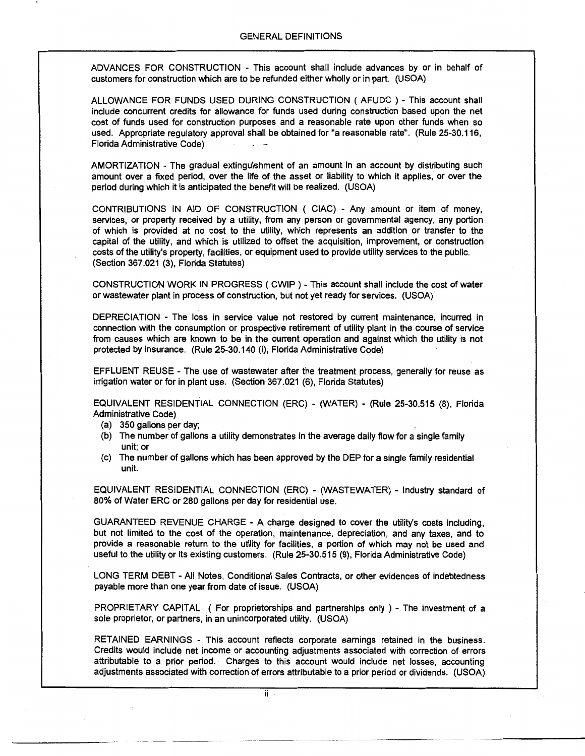ADVANCES FOR CONSTRUCTION - This account shall include advances by or in behalf of customers for construction which are to be refunded either wholly or in part. (USOA)

ALLOWANCE FOR FUNDS USED DURING CONSTRUCTION ( AFUDC ) - This account shall include concurrent credits for allowance for funds used during construction based upon the net cost of funds used for construction purposes and a reasonable rate upon other funds when so used. Appropriate regulatory approval shall be obtained for "a reasonable rate". (Rule 25-30.116, Florida Administrative Code)

AMORTIZATION - The gradual extinguishment of an amount in an account by distributing such amount over a fixed period, over the life of the asset or liability to which it applies, or over the period during which it is anticipated the benefit will be realized. (USOA)

CONTRIBUTIONS IN AID OF CONSTRUCTION ( CIAC) - Any amount or item of money, services, or property received by a utility, from any person or governmental agency, any portion of which is provided at no cost to the utility, which represents an addition or transfer to the capital of the utility, and which is utilized to offset the acquisition, improvement, or construction costs of the utility's property, facilities, or equipment used to provide utility services to the public. (Section 367.021 (3), Florida Statutes)

CONSTRUCTION WORK IN PROGRESS ( CWIP ) -This account shall include the cost of water or wastewater plant in process of construction, but not yet ready for services. (USOA)

DEPRECIATION - The loss in service value not restored by current maintenance, incurred in connection with the consumption or prospective retirement of utility plant in the course of service from causes which are known to be in the current operation and against which the utility is not protected by insurance. (Rule 25-30.140 (i), Florida Administrative Code)

EFFLUENT REUSE- The use of wastewater after the treatment process, generally for reuse as irrigation water or for in plant use. (Section 367.021 (6}, Florida Statutes)

EQUIVALENT RESIDENTIAL CONNECTION (ERC) - (WATER) - (Rule 25-30.515 (8), Florida Administrative Code)

- (a) 350 gallons per day;
- (b) The number of gallons a utility demonstrates in the average daily flow for a single family unit; or
- (c) The number of gallons which has been approved by the DEP for a single family residential unit.

EQUIVALENT RESIDENTIAL CONNECTION (ERC) - (WASTEWATER) - Industry standard of 80% of Water ERC or 280 gallons per day for residential use.

GUARANTEED REVENUE CHARGE - A charge designed to cover the utility's costs including, but not limited to the cost of the operation, maintenance, depreciation, and any taxes, and to provide a reasonable return to the utility for facilities, a portion of which may not be used and useful to the utility or its existing customers. (Rule 25-30.515 (9), Florida Administrative Code)

LONG TERM DEBT - All Notes, Conditional Sales Contracts, or other evidences of indebtedness payable more than one year from date of issue. (USOA)

PROPRIETARY CAPITAL ( For proprietorships and partnerships only ) - The investment of a sole proprietor, or partners, in an unincorporated utility. (USOA)

RETAINED EARNINGS - This account reflects corporate earnings retained in the business. Credits would include net income or accounting adjustments associated with correction of errors attributable to a prior period. Charges to this account would include net losses, accounting adjustments associated with correction of errors attributable to a prior period or dividends. (USOA)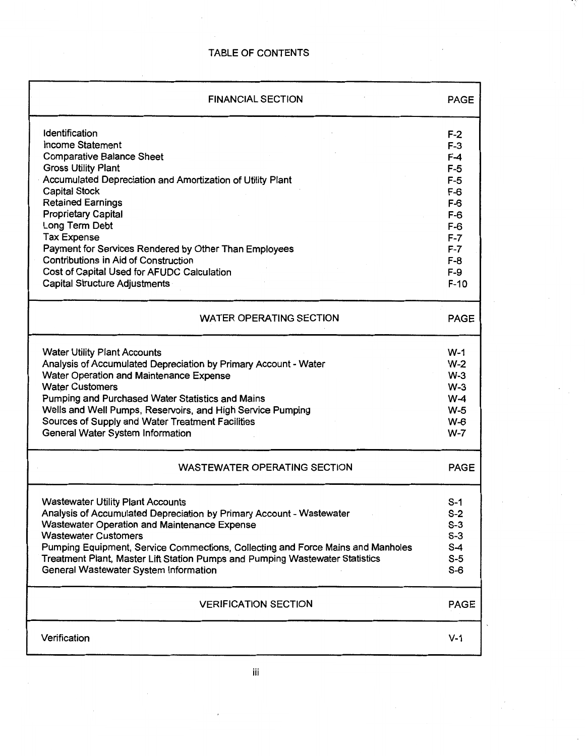| <b>FINANCIAL SECTION</b>                                                                                                                                                                                                                                                                                                                                                                                                                                                                          | PAGE                                                                                                                      |
|---------------------------------------------------------------------------------------------------------------------------------------------------------------------------------------------------------------------------------------------------------------------------------------------------------------------------------------------------------------------------------------------------------------------------------------------------------------------------------------------------|---------------------------------------------------------------------------------------------------------------------------|
| Identification<br><b>Income Statement</b><br><b>Comparative Balance Sheet</b><br><b>Gross Utility Plant</b><br>Accumulated Depreciation and Amortization of Utility Plant<br><b>Capital Stock</b><br><b>Retained Earnings</b><br><b>Proprietary Capital</b><br>Long Term Debt<br><b>Tax Expense</b><br>Payment for Services Rendered by Other Than Employees<br><b>Contributions in Aid of Construction</b><br>Cost of Capital Used for AFUDC Calculation<br><b>Capital Structure Adjustments</b> | $F-2$<br>$F-3$<br>F-4<br>$F-5$<br>$F-5$<br>$F-6$<br>$F-6$<br>$F-6$<br>$F-6$<br>$F-7$<br>$F-7$<br>$F-8$<br>$F-9$<br>$F-10$ |
| <b>WATER OPERATING SECTION</b>                                                                                                                                                                                                                                                                                                                                                                                                                                                                    | <b>PAGE</b>                                                                                                               |
| <b>Water Utility Plant Accounts</b><br>Analysis of Accumulated Depreciation by Primary Account - Water<br>Water Operation and Maintenance Expense<br><b>Water Customers</b><br>Pumping and Purchased Water Statistics and Mains<br>Wells and Well Pumps, Reservoirs, and High Service Pumping<br>Sources of Supply and Water Treatment Facilities<br>General Water System Information                                                                                                             | $W-1$<br>$W-2$<br>$W-3$<br>$W-3$<br>$W-4$<br>$W-5$<br>$W-6$<br>$W-7$                                                      |
| <b>WASTEWATER OPERATING SECTION</b>                                                                                                                                                                                                                                                                                                                                                                                                                                                               | <b>PAGE</b>                                                                                                               |
| <b>Wastewater Utility Plant Accounts</b><br>Analysis of Accumulated Depreciation by Primary Account - Wastewater<br>Wastewater Operation and Maintenance Expense<br><b>Wastewater Customers</b><br>Pumping Equipment, Service Commections, Collecting and Force Mains and Manholes<br>Treatment Plant, Master Lift Station Pumps and Pumping Wastewater Statistics<br>General Wastewater System Information                                                                                       | $S-1$<br>$S-2$<br>$S-3$<br>$S-3$<br>$S-4$<br>$S-5$<br>$S-6$                                                               |
| <b>VERIFICATION SECTION</b>                                                                                                                                                                                                                                                                                                                                                                                                                                                                       | PAGE                                                                                                                      |
| Verification                                                                                                                                                                                                                                                                                                                                                                                                                                                                                      | $V-1$                                                                                                                     |

 $\hat{\mathbf{v}}$ 

÷,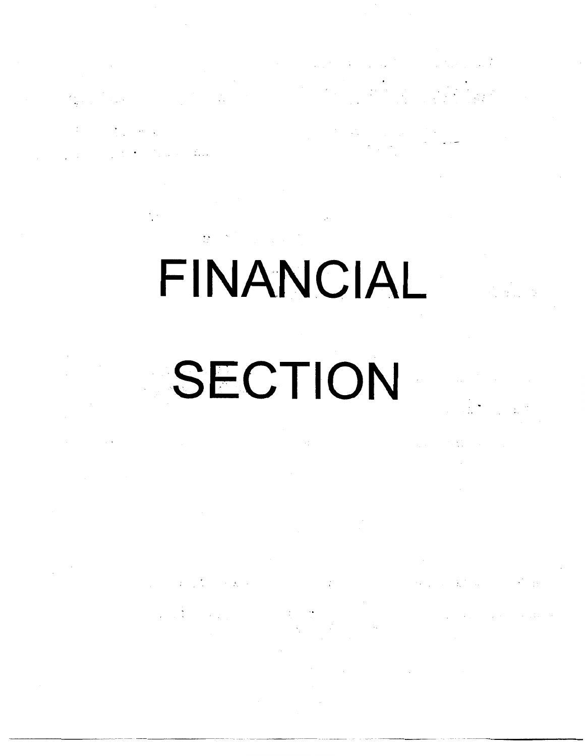# FINANCIAL **SECTION**

 $\label{eq:2.1} \mathcal{L}_{\mathcal{A}}(x)=\mathcal{L}_{\mathcal{A}}(x)\mathcal{L}_{\mathcal{A}}(x)\mathcal{L}_{\mathcal{A}}(x) \mathcal{L}_{\mathcal{A}}(x) \mathcal{L}_{\mathcal{A}}(x) \mathcal{L}_{\mathcal{A}}(x) \mathcal{L}_{\mathcal{A}}(x)$ 

 $\label{eq:2.1} \mathcal{F}(\mathcal{F}) = \mathcal{F}(\mathcal{F}) \mathcal{F}(\mathcal{F}) = \mathcal{F}(\mathcal{F})$ 

 $\label{eq:2} \frac{1}{\sqrt{2\pi}}\int_{0}^{\infty}\frac{1}{\sqrt{2\pi}}\int_{0}^{\infty}\frac{1}{\sqrt{2\pi}}\int_{0}^{\infty}\frac{1}{\sqrt{2\pi}}\int_{0}^{\infty}\frac{1}{\sqrt{2\pi}}\int_{0}^{\infty}\frac{1}{\sqrt{2\pi}}\int_{0}^{\infty}\frac{1}{\sqrt{2\pi}}\int_{0}^{\infty}\frac{1}{\sqrt{2\pi}}\int_{0}^{\infty}\frac{1}{\sqrt{2\pi}}\int_{0}^{\infty}\frac{1}{\sqrt{2\pi}}\int_{0}^{\infty}\frac{$ 

 $\label{eq:2} \mathcal{L}(\mathcal{L}^{\text{c}}) = \sum_{i=1}^n \mathcal{L}^{\text{c}}_{\text{c}} \mathcal{L}^{\text{c}}_{\text{c}} \mathcal{L}^{\text{c}}_{\text{c}} \mathcal{L}^{\text{c}}_{\text{c}} \mathcal{L}^{\text{c}}_{\text{c}} \mathcal{L}^{\text{c}}_{\text{c}} \mathcal{L}^{\text{c}}_{\text{c}}$ 

 $\label{eq:2} \mathcal{L}_{\text{max}}(\mathcal{L}_{\text{max}}) = \frac{1}{2} \sum_{i=1}^{n} \mathcal{L}_{\text{max}}(\mathcal{L}_{\text{max}}) \mathcal{L}_{\text{max}}(\mathcal{L}_{\text{max}})$ 

 $\label{eq:2.1} \frac{1}{2}\int_{\mathbb{R}^{3}}\left|\frac{1}{\sqrt{2\pi}\left(1+\frac{1}{2}\right)}\right|^{2}dx\leq\frac{1}{2}\int_{\mathbb{R}^{3}}\left|\frac{1}{\sqrt{2\pi}\left(1+\frac{1}{2}\right)}\right|^{2}dx\leq\frac{1}{2}\int_{\mathbb{R}^{3}}\left|\frac{1}{\sqrt{2\pi}\left(1+\frac{1}{2}\right)}\right|^{2}dx$ 

 $\label{eq:2} \frac{1}{\sqrt{2}}\int_{-\infty}^{\infty} \frac{d\mu}{\sqrt{2}}\,d\mu\,d\mu\,.$ 

 $\label{eq:2.1} \begin{split} \mathcal{G}(\mathbf{u}) &= \mathcal{G}(\mathbf{h}^{\mathrm{T}}_{\mathbf{u}}(\mathbf{u})) = \mathcal{G}(\mathbf{h}^{\mathrm{T}}_{\mathbf{u}}(\mathbf{u})) \\ &\qquad \qquad \mathcal{G}(\mathbf{u}) = \mathcal{G}(\mathbf{u}^{\mathrm{T}}_{\mathbf{u}}(\mathbf{u})) = \mathcal{G}(\mathbf{h}^{\mathrm{T}}_{\mathbf{u}}(\mathbf{u})) \end{split}$ 

 $\mathcal{L}^{\text{max}}_{\text{max}}$  and  $\mathcal{L}^{\text{max}}_{\text{max}}$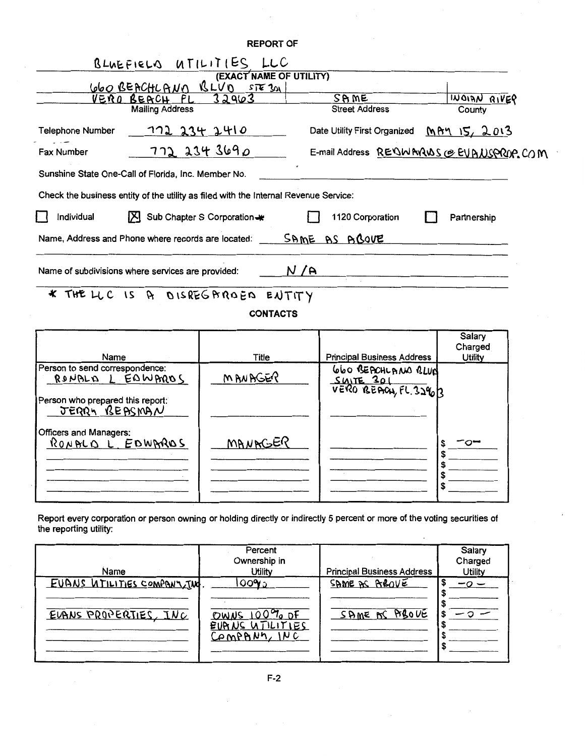|                                                                                      | <b>REPORT OF</b>            |                                          |                           |
|--------------------------------------------------------------------------------------|-----------------------------|------------------------------------------|---------------------------|
| BLUEFIELD UTILITIES LLC                                                              |                             |                                          |                           |
|                                                                                      | (EXACT NAME OF UTILITY)     |                                          |                           |
| <u>660 BEACHLAND BLUD STE301</u>                                                     |                             |                                          |                           |
| <u>VERO BERCH FL</u>                                                                 | 32963                       | SPME                                     | WOIAN RIVER               |
| <b>Mailing Address</b>                                                               |                             | <b>Street Address</b>                    | County                    |
| <b>Telephone Number</b>                                                              | 772 234 2410                | Date Utility First Organized             | <u>MAY 15, 2013</u>       |
| Fax Number                                                                           | 7722343690                  | E-mail Address REQWARANS @ EVANSPROP.COM |                           |
| Sunshine State One-Call of Florida, Inc. Member No.                                  |                             |                                          |                           |
| Check the business entity of the utility as filed with the Internal Revenue Service: |                             |                                          |                           |
| Individual                                                                           | Sub Chapter S Corporation-* | 1120 Corporation                         | Partnership               |
| Name, Address and Phone where records are located:                                   |                             | SAME AS ABOVE                            |                           |
| Name of subdivisions where services are provided:                                    | N/A                         |                                          |                           |
| * THE LLC IS A DISREGAROED ENTITY                                                    |                             |                                          |                           |
|                                                                                      | <b>CONTACTS</b>             |                                          |                           |
|                                                                                      |                             |                                          | Salary                    |
| Name                                                                                 | <b>Title</b>                | <b>Principal Business Address</b>        | Charged<br><b>Utility</b> |
| Person to send correspondence:                                                       |                             |                                          |                           |
| BONALD L EDMARDS                                                                     | MANAGER                     | 660 BEACHLANO BLUN                       |                           |
|                                                                                      |                             | SWITE 301<br>VERO BEACH, FL 32803        |                           |
| Person who prepared this report:<br><u>JERRY BEASMAN</u>                             |                             |                                          |                           |

| Officers and Managers:<br>RON BLO L EDWARDS | MANAGER |  | ⌒ー |
|---------------------------------------------|---------|--|----|
|---------------------------------------------|---------|--|----|

Report every corporation or person owning or holding directly or indirectly 5 percent or more of the voting securities of the reporting utility:

| Name                                                  | Percent<br>Ownership in<br>Utility                          | <b>Principal Business Address</b> | Salary<br>Charged<br><b>Utility</b> |
|-------------------------------------------------------|-------------------------------------------------------------|-----------------------------------|-------------------------------------|
| EUANS UTILITIES COMPANY TWO<br>EVANS PROPERTIES, INC. | ౹౦౦ఌం<br>OWNS $100\%$ of<br>EVANS UTILITIES<br>Company, INC | SAME AS AROVE<br>SAME AC ABOVE    | -0 -                                |

 $\bar{z}$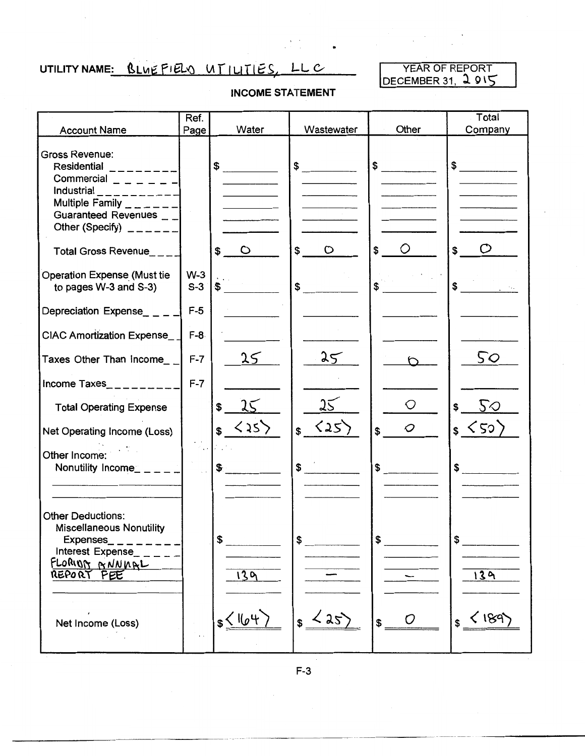## UTILITY NAME: BLUEFIELD UTILITIES, LLC

YEAR OF REPORT DECEMBER 31, 2 015

#### INCOME STATEMENT

•

| <b>Account Name</b>                                                                                                                                                         | Ref.<br>Page                      | Water                                | Wastewater               | Other                     | Total<br>Company              |
|-----------------------------------------------------------------------------------------------------------------------------------------------------------------------------|-----------------------------------|--------------------------------------|--------------------------|---------------------------|-------------------------------|
| <b>Gross Revenue:</b><br>Residential ________<br>Commercial $    -$<br>Industrial __________<br>Multiple Family $    -$<br>Guaranteed Revenues __<br>Other (Specify) $   -$ |                                   | \$                                   | $\frac{1}{2}$            | $\frac{1}{2}$             | $$\overbrace{\hspace{2.5cm}}$ |
| Total Gross Revenue___                                                                                                                                                      |                                   | \$<br>$\circ$                        | $\mathsf{\$}$<br>$\circ$ | \$<br>O                   | \$                            |
| <b>Operation Expense (Must tie</b><br>to pages W-3 and S-3)                                                                                                                 | $W-3$<br>$S-3$                    | $\mathbf{S}$                         | $\frac{1}{2}$            | $\ddot{\textbf{s}}$       | $\sim$                        |
| Depreciation Expense____                                                                                                                                                    | $F-5$                             |                                      |                          |                           |                               |
| CIAC Amortization Expense__                                                                                                                                                 | $F-8$                             |                                      |                          |                           |                               |
| Taxes Other Than Income                                                                                                                                                     | $F-7$                             | 25                                   | 35                       |                           | 50                            |
| Income Taxes__________                                                                                                                                                      | $F-7$                             |                                      |                          |                           |                               |
| <b>Total Operating Expense</b>                                                                                                                                              |                                   | 25<br>\$                             | 25                       | $\bigcirc$                | $5\circ$<br>\$                |
| Net Operating Income (Loss)                                                                                                                                                 |                                   | $\langle 35 \rangle$<br>$\mathbf{s}$ | $s \sim 25$              | $\cal{O}$<br>$\mathbf{s}$ | s < 50                        |
| Other Income:<br>Nonutility Income_ _ _ _ _                                                                                                                                 | $\ddotsc$<br>$\ddot{\phantom{a}}$ | $\mathfrak{F}$                       | $\frac{1}{2}$            | $\int$                    | $\frac{1}{\sqrt{2}}$          |
|                                                                                                                                                                             |                                   |                                      |                          |                           |                               |
| <b>Other Deductions:</b><br><b>Miscellaneous Nonutility</b><br>Expenses_<br>Interest Expense_<br>FLORIOG GNNNAL<br>REPORT FEE                                               |                                   | \$<br>139                            | \$                       |                           | 139                           |
| $\lambda$<br>Net Income (Loss)                                                                                                                                              |                                   | s < 164                              | $\langle 25 \rangle$     | ( )<br>$$^{\circ}$        | $<$ 189<br>\$                 |

F-3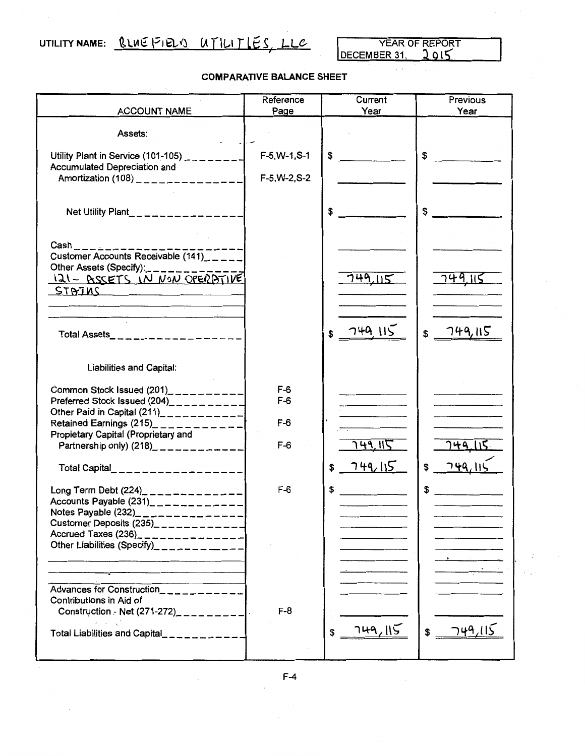## UTILITY NAME: RLUE FIELS UTILITIES, LLC

LLC YEAR OF REPORT

#### COMPARATIVE BALANCE SHEET

|                                                                                                           | Reference       | Current        | Previous       |
|-----------------------------------------------------------------------------------------------------------|-----------------|----------------|----------------|
| <b>ACCOUNT NAME</b>                                                                                       | Page            | Year           | Year           |
| Assets:                                                                                                   |                 |                |                |
| Utility Plant in Service (101-105) $\mu$ <sub>------</sub><br>Accumulated Depreciation and                | $F-5, W-1, S-1$ | \$             | \$             |
| Amortization (108) _______________                                                                        | $F-5, W-2, S-2$ |                |                |
| Net Utility Plant________________                                                                         |                 | \$             | \$             |
| $\mathsf{Cash} \_\_\_\_\_\$<br>Customer Accounts Receivable $(141)$ _____                                 |                 |                |                |
| Other Assets (Specify):                                                                                   |                 |                |                |
| 121 - ASSETS IN NON OPERATIVE<br>STBTiMS                                                                  |                 | 749,115        | <u>749.115</u> |
|                                                                                                           |                 |                |                |
|                                                                                                           |                 |                |                |
| Total Assets____________________                                                                          |                 | 749,115<br>S   | 749,115<br>\$  |
| <b>Liabilities and Capital:</b>                                                                           |                 |                |                |
| Common Stock Issued $(201)$ <sub>2</sub> <sub>2</sub> <sub>2</sub> <sub>2</sub> <sup>2</sup> <sub>2</sub> | $F-6$           |                |                |
| Preferred Stock Issued (204)__________<br>Other Paid in Capital $(211)$ ____________                      | $F-6$           |                |                |
| Retained Earnings (215)_ _ _ _ _ _ _ _ _ _ _                                                              | $F-6$           |                |                |
| Propietary Capital (Proprietary and<br>Partnership only) $(218)$ <sub>-1-------</sub> ----                | $F-6$           | <u>749.115</u> | 149            |
|                                                                                                           |                 |                |                |
| Total Capital____________________                                                                         |                 | 749,115<br>\$  |                |
| Long Term Debt $(224)$ _____________                                                                      | $F-6$           | \$             | \$             |
| Accounts Payable (231)____________<br>Notes Payable (232)_____________                                    |                 |                |                |
| Customer Deposits $(235)$ <sub>----------</sub>                                                           |                 |                |                |
| Accrued Taxes (236)_______________                                                                        |                 |                |                |
| Other Liabilities (Specify)_________                                                                      |                 |                |                |
|                                                                                                           |                 |                |                |
| Advances for Construction                                                                                 |                 |                |                |
| Contributions in Aid of                                                                                   |                 |                |                |
| Construction - Net $(271-272)$ ________                                                                   | $F-8$           |                |                |
| Total Liabilities and Capital__________                                                                   |                 | 749,115<br>\$  | 749.115<br>\$  |
|                                                                                                           |                 |                |                |

F-4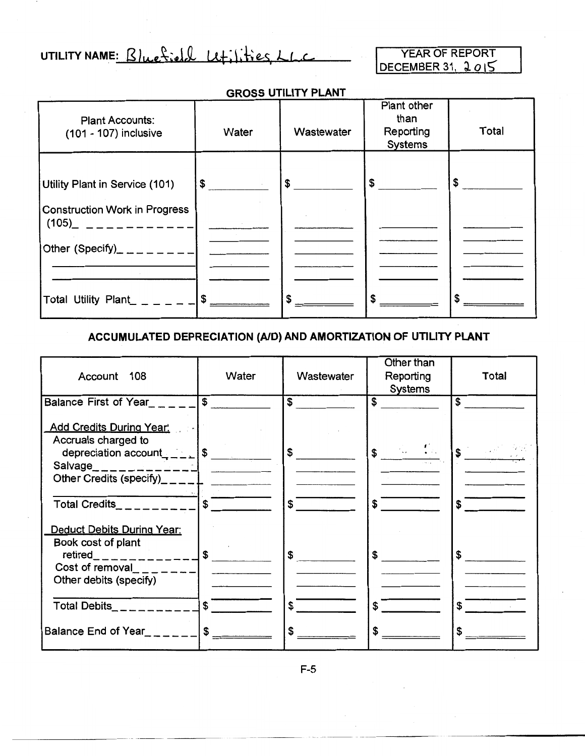UTILITY NAME: Bluefield Litilities, LLC

YEAR OF REPORT DECEMBER 31, 2 *0* 15

#### GROSS UTILITY PLANT

| <b>Plant Accounts:</b><br>(101 - 107) inclusive                        | Water         | Wastewater | Plant other<br>than<br>Reporting<br><b>Systems</b> | <b>Total</b>  |
|------------------------------------------------------------------------|---------------|------------|----------------------------------------------------|---------------|
| Utility Plant in Service (101)<br><b>Construction Work in Progress</b> | $\frac{1}{2}$ | $\sim$     | $\frac{1}{2}$                                      | $\frac{1}{2}$ |
| Other (Specify)_ _ _ _ _ _ _ _ _                                       |               |            |                                                    |               |
| Total Utility Plant_ _ _ _ _ _ 1 \$                                    |               |            | \$                                                 |               |

#### ACCUMULATED DEPRECIATION (AID) AND AMORTIZATION OF UTILITY PLANT

| Account 108                                                                                                    | Water                         | Wastewater           | Other than<br>Reporting<br><b>Systems</b> | Total                   |
|----------------------------------------------------------------------------------------------------------------|-------------------------------|----------------------|-------------------------------------------|-------------------------|
| Balance First of Year______ \$                                                                                 |                               | $\overline{\text{}}$ | $\overline{\textbf{S}}$                   | $\overline{\mathbf{s}}$ |
| Add Credits During Year:<br>Accruals charged to<br>depreciation $\text{account}_{\text{max}} = \frac{1}{2}$ \$ |                               | $1$ \$               | $\frac{1}{2}$                             | $s$ and $s$             |
| Other Credits (specify) $-\_$ $\_$                                                                             |                               |                      |                                           |                         |
| Total Credits________                                                                                          | $\sqrt{s}$                    | $\sim$               | $\boldsymbol{s}^-$                        | $\overline{\mathbf{s}}$ |
| <b>Deduct Debits During Year:</b><br>Book cost of plant<br>Cost of removal<br>Other debits (specify)           |                               | $\sqrt{3}$           | $\mathsf{S}$                              | $\frac{1}{2}$           |
| Total Debits_ _ _ _ _ _ _ _ _                                                                                  | $s$ $\overline{\phantom{a}}$  | $\mathbf s$          | $\mathbf{s}$                              | $\mathbf{f}$            |
| Balance End of Year                                                                                            | $$\overline{\hspace{1.5em}}$$ | \$                   | \$                                        |                         |

F-5

.-·-~ ,\_ .. \_\_\_\_ \_ ··--·----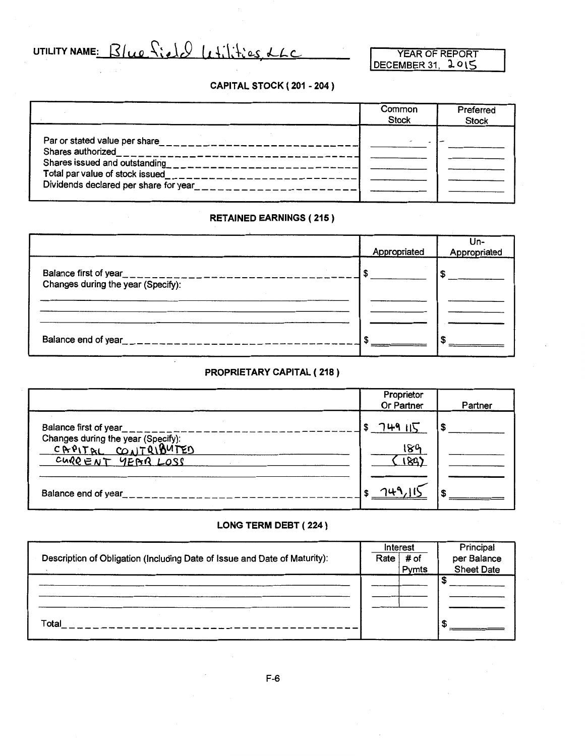UTILITY NAME: Blue field Litilities, LLC

#### CAPITAL STOCK ( 201 - 204 )

|                                                                                                                                                                                                                                                                                | Common<br><b>Stock</b> | Preferred<br><b>Stock</b> |
|--------------------------------------------------------------------------------------------------------------------------------------------------------------------------------------------------------------------------------------------------------------------------------|------------------------|---------------------------|
| Shares authorized__________________<br>Shares issued and outstanding<br>$\frac{1}{2}$ and $\frac{1}{2}$ are solved in the set of $\frac{1}{2}$ and $\frac{1}{2}$<br>Total par value of stock issued<br>. <del>.</del><br>Dividends declared per share for year________________ |                        |                           |

#### RETAINED EARNINGS ( 215)

|                                                                                    | Appropriated | Un-<br>Appropriated |
|------------------------------------------------------------------------------------|--------------|---------------------|
| Balance first of year<br>-------------------<br>Changes during the year (Specify): |              |                     |
|                                                                                    |              |                     |
| Balance end of year<br>$-$ and the $       -$                                      |              | c                   |

#### PROPRIETARY CAPITAL ( 218)

|                                                                                | Proprietor<br>Or Partner | Partner |
|--------------------------------------------------------------------------------|--------------------------|---------|
| Balance first of year                                                          | フルタ ハマ                   | S       |
| Changes during the year (Specify):<br>CAPITAL CONTRIBUTED<br>CURRENT YEAR LOSS | 180                      |         |
|                                                                                |                          |         |
| Balance end of year                                                            |                          |         |

#### LONG TERM DEBT ( 224 )

| Description of Obligation (Including Date of Issue and Date of Maturity): | Rate | Interest<br># of<br>Pymts | Principal<br>per Balance<br><b>Sheet Date</b> |
|---------------------------------------------------------------------------|------|---------------------------|-----------------------------------------------|
|                                                                           |      |                           |                                               |
| Total                                                                     |      |                           |                                               |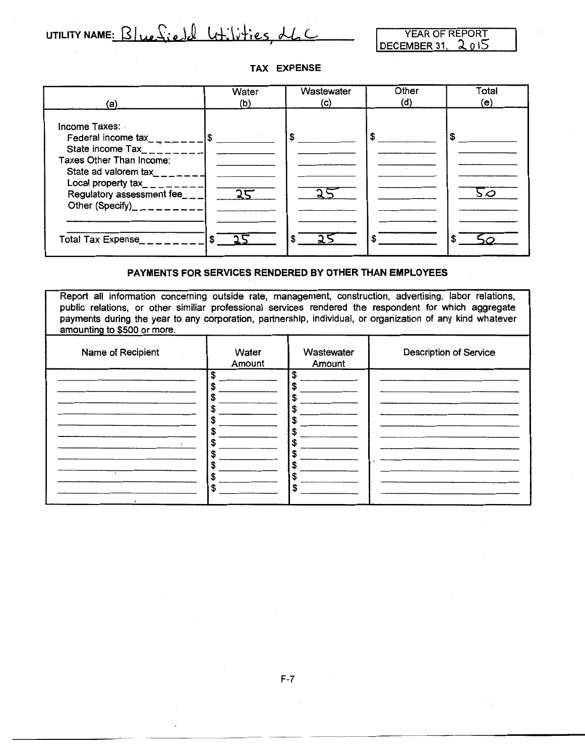UTILITY NAME:  $\frac{B}{ue}\times \text{i}e$  $d$   $\text{u}+i\text{i}+i\text{e}s$ ,  $d\text{L}$ 

YEAR OF REPORT DECEMBER 31.  $2015$ 

-------- ------------------

#### **TAX EXPENSE**



#### **PAYMENTS FOR SERVICES RENDERED BY OTHER THAN EMPLOYEES**

Report all information concerning outside rate, management, construction, advertising, labor relations, public relations, or other similiar professional services rendered the respondent for which aggregate payments during the year to any corporation, partnership, individual, or organization of any kind whatever amounting to \$500 or more.

| Name of Recipient         | Water<br>Amount | Wastewater<br>Amount | <b>Description of Service</b> |
|---------------------------|-----------------|----------------------|-------------------------------|
| ٠<br>$\ddot{\phantom{a}}$ | \$<br>S<br>S    | \$                   |                               |
| $\cdot$<br>$\sim$         | S               | Œ<br>S               |                               |

 $\sim$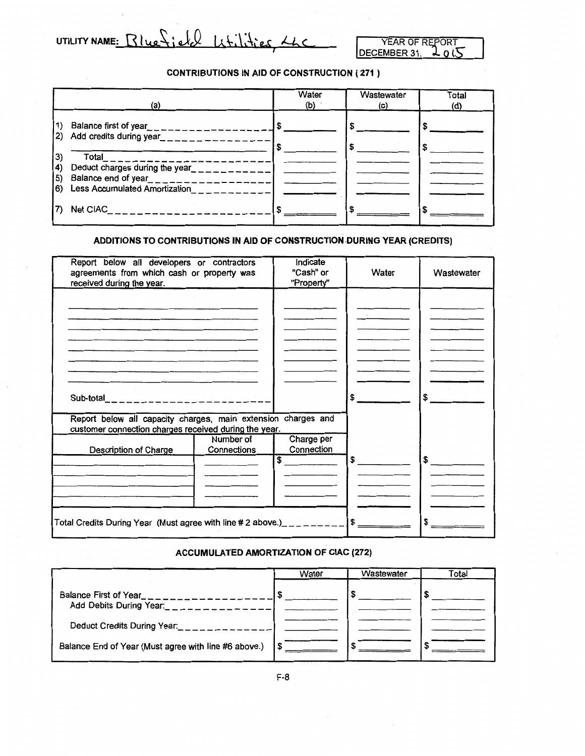UTILITY NAME:  $Bluefield$   $L+1.1.4$  es  $ALC$ 

YEAR OF REPORT<br>EMBER 31, 2015 DECEMBER 31,

#### CONTRIBUTIONS IN AID OF CONSTRUCTION ( 271 )

| (a)                                                                                          | Water<br>(b) | Wastewater<br>(c) | Total<br>(d) |
|----------------------------------------------------------------------------------------------|--------------|-------------------|--------------|
| Balance first of year_________________<br>1)<br>Add credits during year_______________<br>2) |              |                   |              |
| $Total$ <sub>-----------</sub><br>3)<br>Deduct charges during the year_<br>4)<br>---------   |              |                   |              |
| $\vert 5)$<br>Less Accumulated Amortization<br>6)                                            |              |                   |              |
| Net CIAC______________________                                                               |              |                   |              |

#### ADDITIONS TO CONTRIBUTIONS IN AID OF CONSTRUCTION DURING YEAR (CREDITS)

| Report below all developers or contractors<br>agreements from which cash or property was<br>received during the year.  |                          | Indicate<br>"Cash" or<br>"Property" | Water | Wastewater      |
|------------------------------------------------------------------------------------------------------------------------|--------------------------|-------------------------------------|-------|-----------------|
|                                                                                                                        |                          |                                     |       |                 |
|                                                                                                                        |                          |                                     |       |                 |
|                                                                                                                        |                          |                                     |       |                 |
|                                                                                                                        |                          |                                     |       |                 |
|                                                                                                                        |                          |                                     |       |                 |
| Sub-total______________________                                                                                        |                          |                                     | \$    | $\sim$          |
| Report below all capacity charges, main extension charges and<br>customer connection charges received during the year. |                          |                                     |       |                 |
| Description of Charge                                                                                                  | Number of<br>Connections | Charge per<br>Connection            |       |                 |
|                                                                                                                        |                          | \$                                  | \$    | $\frac{15}{15}$ |
|                                                                                                                        |                          |                                     |       |                 |
|                                                                                                                        |                          |                                     |       |                 |
| Total Credits Duning Year (Must agree with line # 2 above.)_________                                                   |                          |                                     | \$    |                 |

#### ACCUMULATED AMORTIZATION OF CIAC (272)

|                                                      | Water | Wastewater | Total |
|------------------------------------------------------|-------|------------|-------|
| Balance First of Year_<br>Add Debits During Year:    |       |            |       |
| Deduct Credits During Year:                          |       |            |       |
| Balance End of Year (Must agree with line #6 above.) |       |            |       |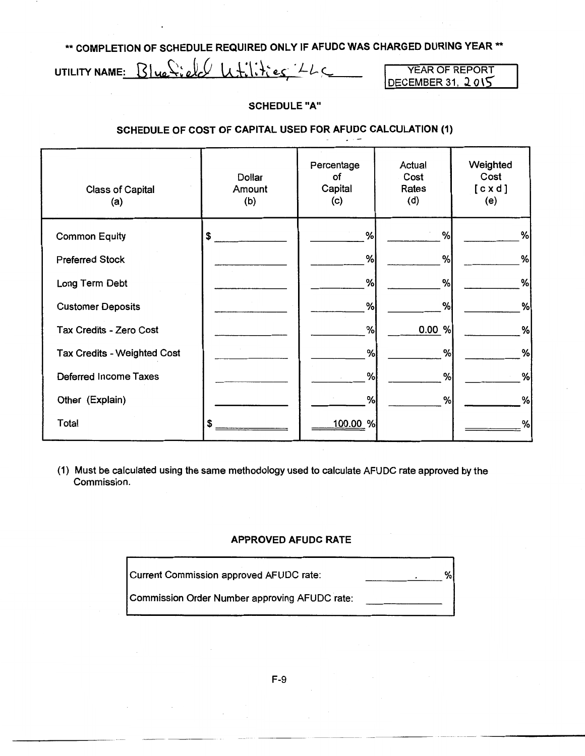\*\* COMPLETION OF SCHEDULE REQUIRED ONLY IF AFUDC WAS CHARGED DURING YEAR \*\*

UTILITY NAME:  $Blue$ ; ell  $U$   $U$   $H$ ;  $H$ ; es  $L$ 

YEAR OF REPORT  $DECEMBER 31, 2015$ 

#### SCHEDULE"A"

#### SCHEDULE OF COST OF CAPITAL USED FOR AFUDC CALCULATION (1)

| <b>Class of Capital</b><br>(a) | Dollar<br>Amount<br>(b) | Percentage<br>оf<br>Capital<br>(c) | Actual<br>Cost<br>Rates<br>(d) | Weighted<br>Cost<br>[cxd]<br>(e) |
|--------------------------------|-------------------------|------------------------------------|--------------------------------|----------------------------------|
| <b>Common Equity</b>           | \$                      | %                                  | %                              | %                                |
| <b>Preferred Stock</b>         |                         | %                                  | %                              | %                                |
| Long Term Debt                 |                         | %                                  | %                              | %                                |
| <b>Customer Deposits</b>       |                         | %                                  | %                              | %                                |
| Tax Credits - Zero Cost        |                         | %                                  | 0.00 %                         | %                                |
| Tax Credits - Weighted Cost    |                         | %                                  | %                              | %                                |
| Deferred Income Taxes          |                         | %                                  | %                              | %                                |
| Other (Explain)                |                         | %                                  | %                              | %                                |
| Total                          | \$                      | 100.00 %                           |                                | %                                |

(1) Must be calculated using the same methodology used to calculate AFUDC rate approved by the Commission.

#### APPROVED AFUDC RATE

| Current Commission approved AFUDC rate:       |  |
|-----------------------------------------------|--|
| Commission Order Number approving AFUDC rate: |  |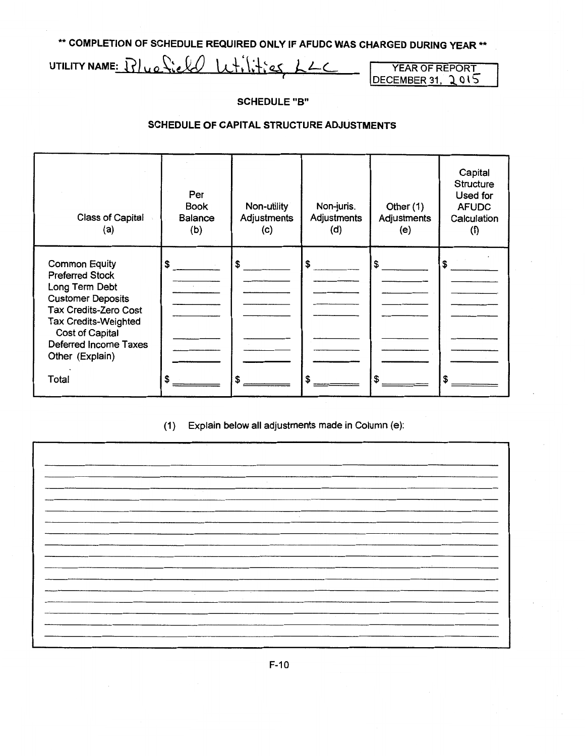\*\* COMPLETION OF SCHEDULE REQUIRED ONLY IF AFUDC WAS CHARGED DURING YEAR \*\*

UTILITY NAME:  $Blue$   $$iell$   $$Li$   $~Li$   $~Li$   $~Li$ 

 $DECEMBER 31, 2015$ 

#### SCHEDULE"B"

#### SCHEDULE OF CAPITAL STRUCTURE ADJUSTMENTS

| Class of Capital<br>(a)                                                                                                                                                                                                             | Per<br><b>Book</b><br><b>Balance</b><br>(b) | Non-utility<br>Adjustments<br>(c) | Non-juris.<br>Adjustments<br>(d) | Other $(1)$<br>Adjustments<br>(e) | Capital<br><b>Structure</b><br>Used for<br><b>AFUDC</b><br>Calculation<br>(f) |
|-------------------------------------------------------------------------------------------------------------------------------------------------------------------------------------------------------------------------------------|---------------------------------------------|-----------------------------------|----------------------------------|-----------------------------------|-------------------------------------------------------------------------------|
| <b>Common Equity</b><br><b>Preferred Stock</b><br>Long Term Debt<br><b>Customer Deposits</b><br><b>Tax Credits-Zero Cost</b><br><b>Tax Credits-Weighted</b><br>Cost of Capital<br>Deferred Income Taxes<br>Other (Explain)<br>Total | \$<br>S                                     | S                                 | \$                               | \$<br>\$                          | \$<br>\$                                                                      |

#### (1) Explain below all adjustments made in Column (e):

| $\sim$ |  |
|--------|--|
|        |  |
|        |  |
|        |  |
|        |  |
|        |  |
|        |  |
|        |  |
|        |  |
|        |  |
|        |  |
|        |  |
|        |  |
|        |  |
|        |  |
|        |  |
|        |  |
|        |  |
|        |  |
|        |  |
|        |  |
|        |  |
|        |  |
|        |  |
|        |  |
| $\sim$ |  |
|        |  |
|        |  |
|        |  |
|        |  |
|        |  |
|        |  |
|        |  |
|        |  |
|        |  |

F-10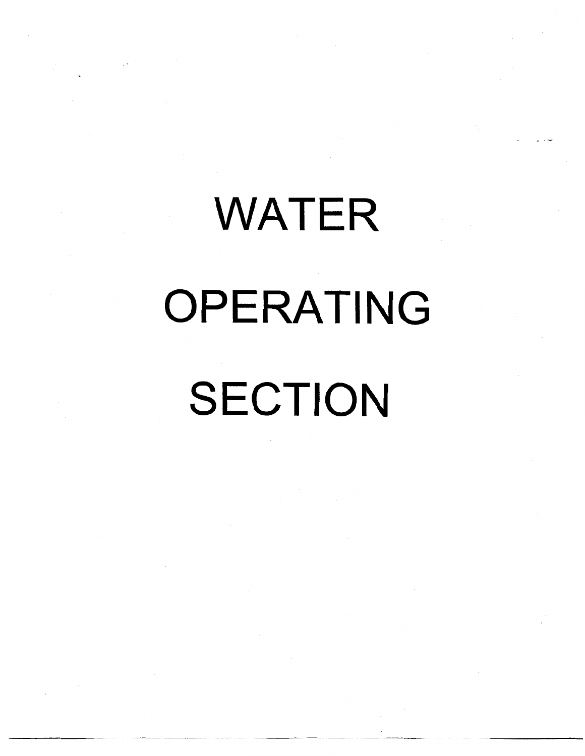# WATER OPERATING SECTION

----------- ---- - -- - - -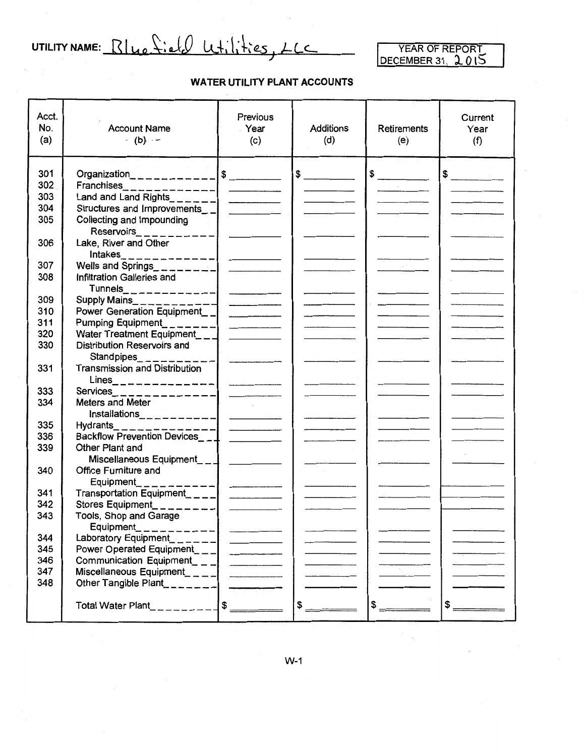UTILITY NAME: Blue field Wtilities, LLC

#### **WATER UTILITY PLANT ACCOUNTS**

| Acct.<br>No.<br>(a) | <b>Account Name</b><br>$-$ (b) $-$                                 | <b>Previous</b><br>. Year<br>(c) | <b>Additions</b><br>(d) | Retirements<br>(e)                                                                                                                                                                                                                                                                                                                                                                                                   | Current<br>Year<br>(f)        |
|---------------------|--------------------------------------------------------------------|----------------------------------|-------------------------|----------------------------------------------------------------------------------------------------------------------------------------------------------------------------------------------------------------------------------------------------------------------------------------------------------------------------------------------------------------------------------------------------------------------|-------------------------------|
| 301                 | Organization____________                                           |                                  | $\frac{1}{\sqrt{2}}$    | $$\overbrace{\hspace{2.5cm}}$                                                                                                                                                                                                                                                                                                                                                                                        | $$\overbrace{\hspace{2.5cm}}$ |
| 302                 | Franchises______________  ________                                 |                                  |                         |                                                                                                                                                                                                                                                                                                                                                                                                                      |                               |
| 303                 | Land and Land Rights______                                         |                                  |                         |                                                                                                                                                                                                                                                                                                                                                                                                                      |                               |
| 304                 | Structures and Improvements_1                                      | and the state of                 |                         |                                                                                                                                                                                                                                                                                                                                                                                                                      |                               |
| 305                 | Collecting and Impounding                                          |                                  |                         |                                                                                                                                                                                                                                                                                                                                                                                                                      |                               |
|                     | Reservoirs___________                                              |                                  |                         |                                                                                                                                                                                                                                                                                                                                                                                                                      |                               |
| 306                 | Lake, River and Other                                              |                                  |                         |                                                                                                                                                                                                                                                                                                                                                                                                                      |                               |
|                     | $Intakes$ <sub>-----------</sub>                                   |                                  |                         |                                                                                                                                                                                                                                                                                                                                                                                                                      |                               |
| 307                 | Wells and Springs_________                                         |                                  |                         |                                                                                                                                                                                                                                                                                                                                                                                                                      |                               |
| 308                 | Infiltration Galleries and                                         |                                  |                         |                                                                                                                                                                                                                                                                                                                                                                                                                      |                               |
|                     | $Tunnels$ <sub>----------</sub>                                    | $\frac{1}{2}$                    |                         |                                                                                                                                                                                                                                                                                                                                                                                                                      |                               |
| 309                 | Supply Mains_ $\frac{1}{2}$ = = = = = =                            |                                  |                         |                                                                                                                                                                                                                                                                                                                                                                                                                      |                               |
| 310                 | Power Generation Equipment_ _                                      |                                  |                         |                                                                                                                                                                                                                                                                                                                                                                                                                      |                               |
| 311                 | Pumping Equipment_______                                           |                                  |                         |                                                                                                                                                                                                                                                                                                                                                                                                                      |                               |
| 320                 | Water Treatment Equipment                                          |                                  |                         |                                                                                                                                                                                                                                                                                                                                                                                                                      |                               |
| 330                 | Distribution Reservoirs and<br>Standpipes <sub>2</sub> _ _ _ _ _ _ |                                  |                         |                                                                                                                                                                                                                                                                                                                                                                                                                      |                               |
| 331                 | <b>Transmission and Distribution</b>                               |                                  |                         |                                                                                                                                                                                                                                                                                                                                                                                                                      |                               |
| 333                 | $Lines$ _ _ _ _ _ _ _ _ _ _ _ _ _ _ _                              |                                  |                         |                                                                                                                                                                                                                                                                                                                                                                                                                      |                               |
| 334                 | Services______________<br>Meters and Meter                         |                                  |                         |                                                                                                                                                                                                                                                                                                                                                                                                                      |                               |
|                     | $Installations$ <sub>2</sub> $x = - - - - - -$                     |                                  |                         |                                                                                                                                                                                                                                                                                                                                                                                                                      |                               |
| 335                 | Hydrants______________                                             |                                  |                         |                                                                                                                                                                                                                                                                                                                                                                                                                      |                               |
| 336                 | Backflow Prevention Devices_1                                      |                                  |                         |                                                                                                                                                                                                                                                                                                                                                                                                                      |                               |
| 339                 | Other Plant and                                                    |                                  |                         |                                                                                                                                                                                                                                                                                                                                                                                                                      |                               |
|                     | Miscellaneous Equipment__ _ _                                      |                                  |                         |                                                                                                                                                                                                                                                                                                                                                                                                                      |                               |
| 340                 | <b>Office Furniture and</b>                                        |                                  |                         |                                                                                                                                                                                                                                                                                                                                                                                                                      |                               |
|                     | Equipment                                                          |                                  |                         |                                                                                                                                                                                                                                                                                                                                                                                                                      |                               |
| 341                 | Transportation Equipment_ _ _ _                                    |                                  |                         |                                                                                                                                                                                                                                                                                                                                                                                                                      |                               |
| 342                 | Stores Equipment__                                                 |                                  |                         |                                                                                                                                                                                                                                                                                                                                                                                                                      |                               |
| 343                 | Tools, Shop and Garage                                             |                                  |                         |                                                                                                                                                                                                                                                                                                                                                                                                                      |                               |
|                     | Equipment_ $-$                                                     |                                  |                         |                                                                                                                                                                                                                                                                                                                                                                                                                      |                               |
| 344                 | Equipment___________<br>Laboratory Equipment______                 |                                  |                         |                                                                                                                                                                                                                                                                                                                                                                                                                      |                               |
| 345                 | Power Operated Equipment_ $\Box$                                   |                                  |                         |                                                                                                                                                                                                                                                                                                                                                                                                                      |                               |
| 346                 | Communication Equipment_ _ _                                       |                                  |                         |                                                                                                                                                                                                                                                                                                                                                                                                                      |                               |
| 347                 | Miscellaneous Equipment_ $\_$                                      |                                  |                         |                                                                                                                                                                                                                                                                                                                                                                                                                      |                               |
| 348                 | Other Tangible Plant_______                                        |                                  |                         |                                                                                                                                                                                                                                                                                                                                                                                                                      |                               |
|                     | Total Water Plant_________                                         | $\frac{1}{2}$                    | $\frac{1}{2}$           | $\frac{1}{\sqrt{1-\frac{1}{2}}\sqrt{1-\frac{1}{2}}\sqrt{1-\frac{1}{2}}\sqrt{1-\frac{1}{2}}\sqrt{1-\frac{1}{2}}\sqrt{1-\frac{1}{2}}\sqrt{1-\frac{1}{2}}\sqrt{1-\frac{1}{2}}\sqrt{1-\frac{1}{2}}\sqrt{1-\frac{1}{2}}\sqrt{1-\frac{1}{2}}\sqrt{1-\frac{1}{2}}\sqrt{1-\frac{1}{2}}\sqrt{1-\frac{1}{2}}\sqrt{1-\frac{1}{2}}\sqrt{1-\frac{1}{2}}\sqrt{1-\frac{1}{2}}\sqrt{1-\frac{1}{2}}\sqrt{1-\frac{1}{2}}\sqrt{1-\frac$ | $\frac{1}{2}$                 |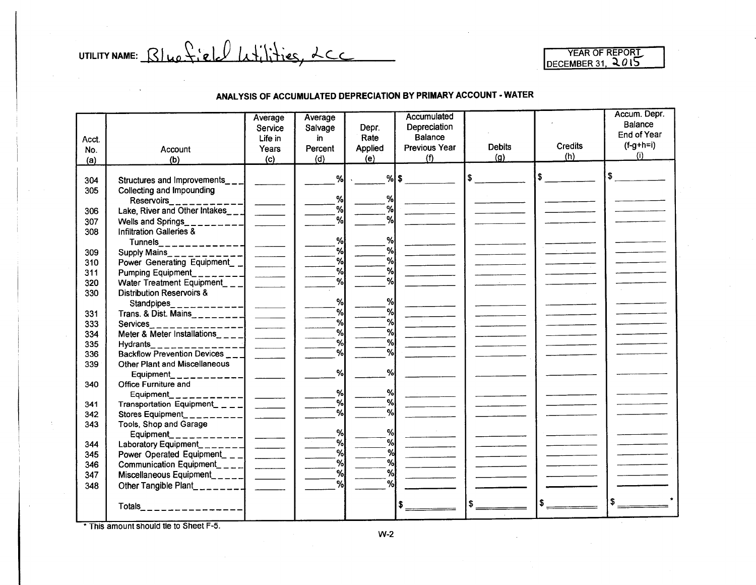UTILITY NAME:  $Blue$   $file$   $L$   $L$   $L$   $L$   $L$   $L$   $L$   $L$   $L$ 

#### ANALYSIS OF ACCUMULATED DEPRECIATION BY PRIMARY ACCOUNT· WATER

| End of Year<br>Balance<br>Rate<br>Life in<br>in<br>Acct.<br>$(f-g+h=i)$<br>Credits<br><b>Debits</b><br><b>Previous Year</b><br>Applied<br>Years<br>Percent<br>Account<br>No.<br>(i)<br>(h)<br>(g)<br>(f)<br>(e)<br>(d)<br>(c)<br>(b)<br>(a)<br>\$<br>$%$ \$<br>l \$<br>Structures and Improvements_ $\_$<br>304<br>Collecting and Impounding<br>305<br>%<br>%l<br>Reservoirs____________<br>$\begin{tabular}{lcccccc} \multicolumn{2}{c }{\textbf{1} & \textbf{2} & \textbf{3} & \textbf{4} & \textbf{5} & \textbf{5} & \textbf{6} & \textbf{6} & \textbf{7} & \textbf{8} & \textbf{8} & \textbf{9} & \textbf{10} & \textbf{10} & \textbf{10} & \textbf{10} & \textbf{10} & \textbf{10} & \textbf{10} & \textbf{10} & \textbf{10} & \textbf{10} & \textbf{10} & \textbf{10} & \textbf{10} & \textbf{10} & \textbf{$<br>%<br>%<br>Lake, River and Other Intakes_ $\Box$<br>306<br>%<br>%<br>307<br>Wells and Springs<br>Infiltration Galleries &<br>308<br>%<br>% <br>Tunnels<br>%<br>%<br>309<br>%<br>%<br>Power Generating Equipment_ _ <br>310<br>and the control<br>%<br>%<br>311<br>Pumping Equipment<br>%<br>%<br>Water Treatment Equipment___<br>320<br>330<br><b>Distribution Reservoirs &amp;</b><br>% <br>%<br>Standpipes<br>__________  _____<br>%l<br>%<br>331<br>%<br>%<br>333<br>Services<br>$\overline{\phantom{a}}$<br>%<br>%<br>Meter & Meter Installations <sub>----</sub><br>334<br>%<br>%<br>Hydrants<br>335<br>%<br>$\mathcal{A}$<br>Backflow Prevention Devices ___<br>336<br>Other Plant and Miscellaneous<br>339<br>%<br>%l<br>Equipment<br>. _ _ _ _ _ _ _ _ _ <br>340<br>Office Furniture and<br>%<br>%<br>Equipment_<br>Equipment____________<br>Transportation Equipment_____<br>%<br>%<br>341<br>$\mathbf{a}$<br>$\frac{9}{6}$<br>342<br>Stores Equipment<br>343<br>Tools, Shop and Garage<br>%<br>%<br>Equipment<br>%<br>%<br>Laboratory Equipment_______<br>344<br>$\frac{1}{2}$<br>%<br>%<br>345<br>Power Operated Equipment_ $\Box$<br>%<br>%<br>Communication Equipment____ <br>346<br>%<br>%<br>Miscellaneous Equipment_____ <br>347<br>%<br>%<br>Other Tangible Plant<br>348 |  | Average | Average |       | Accumulated  |  | Accum. Depr.<br>Balance |
|-----------------------------------------------------------------------------------------------------------------------------------------------------------------------------------------------------------------------------------------------------------------------------------------------------------------------------------------------------------------------------------------------------------------------------------------------------------------------------------------------------------------------------------------------------------------------------------------------------------------------------------------------------------------------------------------------------------------------------------------------------------------------------------------------------------------------------------------------------------------------------------------------------------------------------------------------------------------------------------------------------------------------------------------------------------------------------------------------------------------------------------------------------------------------------------------------------------------------------------------------------------------------------------------------------------------------------------------------------------------------------------------------------------------------------------------------------------------------------------------------------------------------------------------------------------------------------------------------------------------------------------------------------------------------------------------------------------------------------------------------------------------------------------------------------------------------------------------------------------------------------------------------------------------------------------------------------------------------------------------------------------------------------------------------------------------------------------------------------------------|--|---------|---------|-------|--------------|--|-------------------------|
|                                                                                                                                                                                                                                                                                                                                                                                                                                                                                                                                                                                                                                                                                                                                                                                                                                                                                                                                                                                                                                                                                                                                                                                                                                                                                                                                                                                                                                                                                                                                                                                                                                                                                                                                                                                                                                                                                                                                                                                                                                                                                                                 |  | Service | Salvage | Depr. | Depreciation |  |                         |
|                                                                                                                                                                                                                                                                                                                                                                                                                                                                                                                                                                                                                                                                                                                                                                                                                                                                                                                                                                                                                                                                                                                                                                                                                                                                                                                                                                                                                                                                                                                                                                                                                                                                                                                                                                                                                                                                                                                                                                                                                                                                                                                 |  |         |         |       |              |  |                         |
|                                                                                                                                                                                                                                                                                                                                                                                                                                                                                                                                                                                                                                                                                                                                                                                                                                                                                                                                                                                                                                                                                                                                                                                                                                                                                                                                                                                                                                                                                                                                                                                                                                                                                                                                                                                                                                                                                                                                                                                                                                                                                                                 |  |         |         |       |              |  |                         |
|                                                                                                                                                                                                                                                                                                                                                                                                                                                                                                                                                                                                                                                                                                                                                                                                                                                                                                                                                                                                                                                                                                                                                                                                                                                                                                                                                                                                                                                                                                                                                                                                                                                                                                                                                                                                                                                                                                                                                                                                                                                                                                                 |  |         |         |       |              |  |                         |
|                                                                                                                                                                                                                                                                                                                                                                                                                                                                                                                                                                                                                                                                                                                                                                                                                                                                                                                                                                                                                                                                                                                                                                                                                                                                                                                                                                                                                                                                                                                                                                                                                                                                                                                                                                                                                                                                                                                                                                                                                                                                                                                 |  |         |         |       |              |  |                         |
|                                                                                                                                                                                                                                                                                                                                                                                                                                                                                                                                                                                                                                                                                                                                                                                                                                                                                                                                                                                                                                                                                                                                                                                                                                                                                                                                                                                                                                                                                                                                                                                                                                                                                                                                                                                                                                                                                                                                                                                                                                                                                                                 |  |         |         |       |              |  |                         |
|                                                                                                                                                                                                                                                                                                                                                                                                                                                                                                                                                                                                                                                                                                                                                                                                                                                                                                                                                                                                                                                                                                                                                                                                                                                                                                                                                                                                                                                                                                                                                                                                                                                                                                                                                                                                                                                                                                                                                                                                                                                                                                                 |  |         |         |       |              |  |                         |
|                                                                                                                                                                                                                                                                                                                                                                                                                                                                                                                                                                                                                                                                                                                                                                                                                                                                                                                                                                                                                                                                                                                                                                                                                                                                                                                                                                                                                                                                                                                                                                                                                                                                                                                                                                                                                                                                                                                                                                                                                                                                                                                 |  |         |         |       |              |  |                         |
|                                                                                                                                                                                                                                                                                                                                                                                                                                                                                                                                                                                                                                                                                                                                                                                                                                                                                                                                                                                                                                                                                                                                                                                                                                                                                                                                                                                                                                                                                                                                                                                                                                                                                                                                                                                                                                                                                                                                                                                                                                                                                                                 |  |         |         |       |              |  |                         |
|                                                                                                                                                                                                                                                                                                                                                                                                                                                                                                                                                                                                                                                                                                                                                                                                                                                                                                                                                                                                                                                                                                                                                                                                                                                                                                                                                                                                                                                                                                                                                                                                                                                                                                                                                                                                                                                                                                                                                                                                                                                                                                                 |  |         |         |       |              |  |                         |
|                                                                                                                                                                                                                                                                                                                                                                                                                                                                                                                                                                                                                                                                                                                                                                                                                                                                                                                                                                                                                                                                                                                                                                                                                                                                                                                                                                                                                                                                                                                                                                                                                                                                                                                                                                                                                                                                                                                                                                                                                                                                                                                 |  |         |         |       |              |  |                         |
|                                                                                                                                                                                                                                                                                                                                                                                                                                                                                                                                                                                                                                                                                                                                                                                                                                                                                                                                                                                                                                                                                                                                                                                                                                                                                                                                                                                                                                                                                                                                                                                                                                                                                                                                                                                                                                                                                                                                                                                                                                                                                                                 |  |         |         |       |              |  |                         |
|                                                                                                                                                                                                                                                                                                                                                                                                                                                                                                                                                                                                                                                                                                                                                                                                                                                                                                                                                                                                                                                                                                                                                                                                                                                                                                                                                                                                                                                                                                                                                                                                                                                                                                                                                                                                                                                                                                                                                                                                                                                                                                                 |  |         |         |       |              |  |                         |
|                                                                                                                                                                                                                                                                                                                                                                                                                                                                                                                                                                                                                                                                                                                                                                                                                                                                                                                                                                                                                                                                                                                                                                                                                                                                                                                                                                                                                                                                                                                                                                                                                                                                                                                                                                                                                                                                                                                                                                                                                                                                                                                 |  |         |         |       |              |  |                         |
|                                                                                                                                                                                                                                                                                                                                                                                                                                                                                                                                                                                                                                                                                                                                                                                                                                                                                                                                                                                                                                                                                                                                                                                                                                                                                                                                                                                                                                                                                                                                                                                                                                                                                                                                                                                                                                                                                                                                                                                                                                                                                                                 |  |         |         |       |              |  |                         |
|                                                                                                                                                                                                                                                                                                                                                                                                                                                                                                                                                                                                                                                                                                                                                                                                                                                                                                                                                                                                                                                                                                                                                                                                                                                                                                                                                                                                                                                                                                                                                                                                                                                                                                                                                                                                                                                                                                                                                                                                                                                                                                                 |  |         |         |       |              |  |                         |
|                                                                                                                                                                                                                                                                                                                                                                                                                                                                                                                                                                                                                                                                                                                                                                                                                                                                                                                                                                                                                                                                                                                                                                                                                                                                                                                                                                                                                                                                                                                                                                                                                                                                                                                                                                                                                                                                                                                                                                                                                                                                                                                 |  |         |         |       |              |  |                         |
|                                                                                                                                                                                                                                                                                                                                                                                                                                                                                                                                                                                                                                                                                                                                                                                                                                                                                                                                                                                                                                                                                                                                                                                                                                                                                                                                                                                                                                                                                                                                                                                                                                                                                                                                                                                                                                                                                                                                                                                                                                                                                                                 |  |         |         |       |              |  |                         |
|                                                                                                                                                                                                                                                                                                                                                                                                                                                                                                                                                                                                                                                                                                                                                                                                                                                                                                                                                                                                                                                                                                                                                                                                                                                                                                                                                                                                                                                                                                                                                                                                                                                                                                                                                                                                                                                                                                                                                                                                                                                                                                                 |  |         |         |       |              |  |                         |
|                                                                                                                                                                                                                                                                                                                                                                                                                                                                                                                                                                                                                                                                                                                                                                                                                                                                                                                                                                                                                                                                                                                                                                                                                                                                                                                                                                                                                                                                                                                                                                                                                                                                                                                                                                                                                                                                                                                                                                                                                                                                                                                 |  |         |         |       |              |  |                         |
|                                                                                                                                                                                                                                                                                                                                                                                                                                                                                                                                                                                                                                                                                                                                                                                                                                                                                                                                                                                                                                                                                                                                                                                                                                                                                                                                                                                                                                                                                                                                                                                                                                                                                                                                                                                                                                                                                                                                                                                                                                                                                                                 |  |         |         |       |              |  |                         |
|                                                                                                                                                                                                                                                                                                                                                                                                                                                                                                                                                                                                                                                                                                                                                                                                                                                                                                                                                                                                                                                                                                                                                                                                                                                                                                                                                                                                                                                                                                                                                                                                                                                                                                                                                                                                                                                                                                                                                                                                                                                                                                                 |  |         |         |       |              |  |                         |
|                                                                                                                                                                                                                                                                                                                                                                                                                                                                                                                                                                                                                                                                                                                                                                                                                                                                                                                                                                                                                                                                                                                                                                                                                                                                                                                                                                                                                                                                                                                                                                                                                                                                                                                                                                                                                                                                                                                                                                                                                                                                                                                 |  |         |         |       |              |  |                         |
|                                                                                                                                                                                                                                                                                                                                                                                                                                                                                                                                                                                                                                                                                                                                                                                                                                                                                                                                                                                                                                                                                                                                                                                                                                                                                                                                                                                                                                                                                                                                                                                                                                                                                                                                                                                                                                                                                                                                                                                                                                                                                                                 |  |         |         |       |              |  |                         |
|                                                                                                                                                                                                                                                                                                                                                                                                                                                                                                                                                                                                                                                                                                                                                                                                                                                                                                                                                                                                                                                                                                                                                                                                                                                                                                                                                                                                                                                                                                                                                                                                                                                                                                                                                                                                                                                                                                                                                                                                                                                                                                                 |  |         |         |       |              |  |                         |
|                                                                                                                                                                                                                                                                                                                                                                                                                                                                                                                                                                                                                                                                                                                                                                                                                                                                                                                                                                                                                                                                                                                                                                                                                                                                                                                                                                                                                                                                                                                                                                                                                                                                                                                                                                                                                                                                                                                                                                                                                                                                                                                 |  |         |         |       |              |  |                         |
|                                                                                                                                                                                                                                                                                                                                                                                                                                                                                                                                                                                                                                                                                                                                                                                                                                                                                                                                                                                                                                                                                                                                                                                                                                                                                                                                                                                                                                                                                                                                                                                                                                                                                                                                                                                                                                                                                                                                                                                                                                                                                                                 |  |         |         |       |              |  |                         |
|                                                                                                                                                                                                                                                                                                                                                                                                                                                                                                                                                                                                                                                                                                                                                                                                                                                                                                                                                                                                                                                                                                                                                                                                                                                                                                                                                                                                                                                                                                                                                                                                                                                                                                                                                                                                                                                                                                                                                                                                                                                                                                                 |  |         |         |       |              |  |                         |
|                                                                                                                                                                                                                                                                                                                                                                                                                                                                                                                                                                                                                                                                                                                                                                                                                                                                                                                                                                                                                                                                                                                                                                                                                                                                                                                                                                                                                                                                                                                                                                                                                                                                                                                                                                                                                                                                                                                                                                                                                                                                                                                 |  |         |         |       |              |  |                         |
|                                                                                                                                                                                                                                                                                                                                                                                                                                                                                                                                                                                                                                                                                                                                                                                                                                                                                                                                                                                                                                                                                                                                                                                                                                                                                                                                                                                                                                                                                                                                                                                                                                                                                                                                                                                                                                                                                                                                                                                                                                                                                                                 |  |         |         |       |              |  |                         |
|                                                                                                                                                                                                                                                                                                                                                                                                                                                                                                                                                                                                                                                                                                                                                                                                                                                                                                                                                                                                                                                                                                                                                                                                                                                                                                                                                                                                                                                                                                                                                                                                                                                                                                                                                                                                                                                                                                                                                                                                                                                                                                                 |  |         |         |       |              |  |                         |
|                                                                                                                                                                                                                                                                                                                                                                                                                                                                                                                                                                                                                                                                                                                                                                                                                                                                                                                                                                                                                                                                                                                                                                                                                                                                                                                                                                                                                                                                                                                                                                                                                                                                                                                                                                                                                                                                                                                                                                                                                                                                                                                 |  |         |         |       |              |  |                         |
|                                                                                                                                                                                                                                                                                                                                                                                                                                                                                                                                                                                                                                                                                                                                                                                                                                                                                                                                                                                                                                                                                                                                                                                                                                                                                                                                                                                                                                                                                                                                                                                                                                                                                                                                                                                                                                                                                                                                                                                                                                                                                                                 |  |         |         |       |              |  |                         |
|                                                                                                                                                                                                                                                                                                                                                                                                                                                                                                                                                                                                                                                                                                                                                                                                                                                                                                                                                                                                                                                                                                                                                                                                                                                                                                                                                                                                                                                                                                                                                                                                                                                                                                                                                                                                                                                                                                                                                                                                                                                                                                                 |  |         |         |       |              |  |                         |
|                                                                                                                                                                                                                                                                                                                                                                                                                                                                                                                                                                                                                                                                                                                                                                                                                                                                                                                                                                                                                                                                                                                                                                                                                                                                                                                                                                                                                                                                                                                                                                                                                                                                                                                                                                                                                                                                                                                                                                                                                                                                                                                 |  |         |         |       |              |  |                         |
|                                                                                                                                                                                                                                                                                                                                                                                                                                                                                                                                                                                                                                                                                                                                                                                                                                                                                                                                                                                                                                                                                                                                                                                                                                                                                                                                                                                                                                                                                                                                                                                                                                                                                                                                                                                                                                                                                                                                                                                                                                                                                                                 |  |         |         |       |              |  |                         |
|                                                                                                                                                                                                                                                                                                                                                                                                                                                                                                                                                                                                                                                                                                                                                                                                                                                                                                                                                                                                                                                                                                                                                                                                                                                                                                                                                                                                                                                                                                                                                                                                                                                                                                                                                                                                                                                                                                                                                                                                                                                                                                                 |  |         |         |       |              |  |                         |
| \$<br>  \$<br>Totals $\qquad \qquad \qquad \qquad \qquad \qquad \qquad$                                                                                                                                                                                                                                                                                                                                                                                                                                                                                                                                                                                                                                                                                                                                                                                                                                                                                                                                                                                                                                                                                                                                                                                                                                                                                                                                                                                                                                                                                                                                                                                                                                                                                                                                                                                                                                                                                                                                                                                                                                         |  |         |         |       |              |  |                         |
|                                                                                                                                                                                                                                                                                                                                                                                                                                                                                                                                                                                                                                                                                                                                                                                                                                                                                                                                                                                                                                                                                                                                                                                                                                                                                                                                                                                                                                                                                                                                                                                                                                                                                                                                                                                                                                                                                                                                                                                                                                                                                                                 |  |         |         |       |              |  |                         |

This amount should tie to Sheet F-5.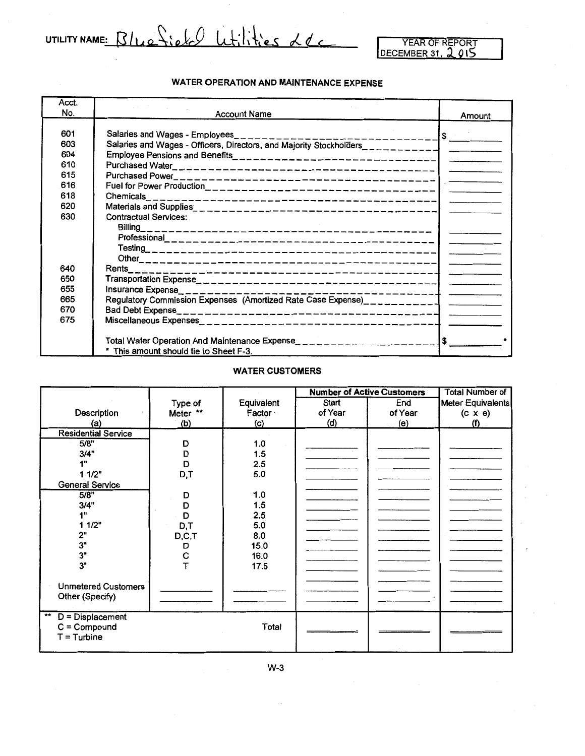UTILITY NAME: Blue field Wtilities Lec

#### **WATER OPERATION AND MAINTENANCE EXPENSE**

| Acct. |                                                                                 |                  |
|-------|---------------------------------------------------------------------------------|------------------|
| No.   | <b>Account Name</b>                                                             | Amount           |
|       |                                                                                 |                  |
| 601   | Salaries and Wages - Employees<br>---------------                               | $  \mathfrak{s}$ |
| 603   | Salaries and Wages - Officers, Directors, and Majority Stockholders____________ |                  |
| 604   |                                                                                 |                  |
| 610   |                                                                                 |                  |
| 615   |                                                                                 |                  |
| 616   |                                                                                 |                  |
| 618   |                                                                                 |                  |
| 620   |                                                                                 |                  |
| 630   | <b>Contractual Services:</b>                                                    |                  |
|       |                                                                                 |                  |
|       |                                                                                 |                  |
|       |                                                                                 |                  |
|       |                                                                                 |                  |
| 640   |                                                                                 |                  |
| 650   |                                                                                 |                  |
| 655   | Insurance Expense___________________________<br>---------------                 |                  |
| 665   | Regulatory Commission Expenses (Amortized Rate Case Expense)_____________       |                  |
| 670   |                                                                                 |                  |
| 675   |                                                                                 |                  |
|       |                                                                                 |                  |
|       |                                                                                 | $1$ s $-$        |
|       | * This amount should tie to Sheet F-3.                                          |                  |

#### **WATER CUSTOMERS**

|                            |          |            | <b>Number of Active Customers</b> |         | <b>Total Number of</b> |
|----------------------------|----------|------------|-----------------------------------|---------|------------------------|
|                            | Type of  | Equivalent | Start                             | End     | Meter Equivalents      |
| Description                | Meter ** | Factor     | of Year                           | of Year | $(c \times e)$         |
| (a)                        | (b)      | (c)        | (d)                               | (e)     | (f)                    |
| <b>Residential Service</b> |          |            |                                   |         |                        |
| 5/8"                       | D        | 1.0        |                                   |         |                        |
| 3/4"                       | D        | 1.5        |                                   |         |                        |
| 1"                         | D        | 2.5        |                                   |         |                        |
| 11/2"                      | D,T      | 5.0        |                                   |         |                        |
| <b>General Service</b>     |          |            |                                   |         |                        |
| 5/8"                       | D        | 1.0        |                                   |         |                        |
| 3/4"                       | D        | 1.5        |                                   |         |                        |
| 1"                         | D        | 2.5        |                                   |         |                        |
| 11/2"                      | D,T      | 5.0        |                                   |         |                        |
| 2"                         | D, C, T  | 8.0        |                                   |         |                        |
| 3"                         | D        | 15.0       |                                   |         |                        |
| 3"                         | C        | 16.0       |                                   |         |                        |
| 3"                         |          | 17.5       |                                   |         |                        |
|                            |          |            |                                   |         |                        |
| <b>Unmetered Customers</b> |          |            |                                   |         |                        |
| Other (Specify)            |          |            |                                   |         |                        |
|                            |          |            |                                   |         |                        |
| $*$<br>$D = Displacement$  |          |            |                                   |         |                        |
| $C =$ Compound             |          | Total      |                                   |         |                        |
| $T =$ Turbine              |          |            |                                   |         |                        |
|                            |          |            |                                   |         |                        |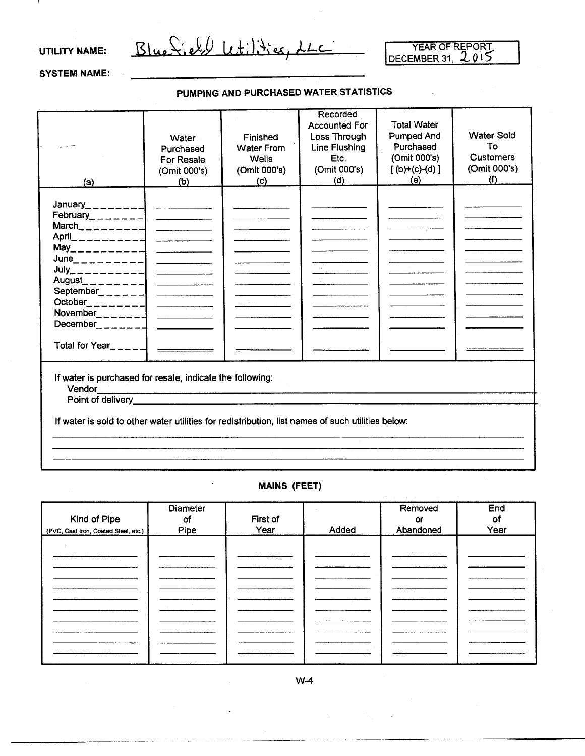#### UTILITY NAME:

Blue Sield Letilities, LLC

YEAR OF REPORT DECEMBER 31, 2015

#### SYSTEM NAME:

#### PUMPING AND PURCHASED WATER STATISTICS

| (a)                                                                                                                                                                                                                                       | Water<br>Purchased<br>For Resale<br>(Omit 000's)<br>(b)                  | Finished<br><b>Water From</b><br><b>Wells</b><br>(Omit 000's)<br>(c) | Recorded<br><b>Accounted For</b><br>Loss Through<br>Line Flushing<br>Etc.<br>(Omit 000's)<br>(d) | <b>Total Water</b><br>Pumped And<br>Purchased<br>(Omit 000's)<br>$[(b)+(c)-(d)]$<br>(e) | <b>Water Sold</b><br>To<br><b>Customers</b><br>(Omit 000's)<br>(f) |  |  |
|-------------------------------------------------------------------------------------------------------------------------------------------------------------------------------------------------------------------------------------------|--------------------------------------------------------------------------|----------------------------------------------------------------------|--------------------------------------------------------------------------------------------------|-----------------------------------------------------------------------------------------|--------------------------------------------------------------------|--|--|
| $\text{February}\_\_\_\_\_\_--\_\_\_\_\_\_$<br>March<br>$------$<br>$June$ _ _ _ _ _ _ _ _ _ _ _ _ _ _ _<br>August_ _ _ _ _ _ _ _ _  <br>September _ _ _ _ _ _   ___________<br>December<br>Total for Year <sub><math>m = -1</math></sub> | $\overline{\phantom{a}}$<br><u> 1990 - John Barn Barnson, margaret e</u> |                                                                      |                                                                                                  |                                                                                         |                                                                    |  |  |
| If water is purchased for resale, indicate the following:<br>Point of delivery__________                                                                                                                                                  |                                                                          |                                                                      |                                                                                                  |                                                                                         |                                                                    |  |  |
| If water is sold to other water utilities for redistribution, list names of such utilities below:                                                                                                                                         |                                                                          |                                                                      |                                                                                                  |                                                                                         |                                                                    |  |  |

#### MAINS (FEET)

| Kind of Pipe                         | <b>Diameter</b><br>оf<br>Pipe | First of<br>Year | Added | Removed<br>or<br>Abandoned | End<br>оf<br>Year |
|--------------------------------------|-------------------------------|------------------|-------|----------------------------|-------------------|
| (PVC, Cast Iron, Coated Steel, etc.) |                               |                  |       |                            |                   |
|                                      |                               |                  |       |                            |                   |
|                                      |                               |                  |       |                            |                   |
|                                      |                               |                  |       |                            |                   |
|                                      |                               |                  |       |                            |                   |
|                                      |                               |                  |       |                            |                   |
|                                      |                               |                  |       |                            |                   |
|                                      |                               |                  |       |                            |                   |
|                                      |                               |                  |       |                            |                   |
|                                      |                               |                  |       |                            |                   |

W-4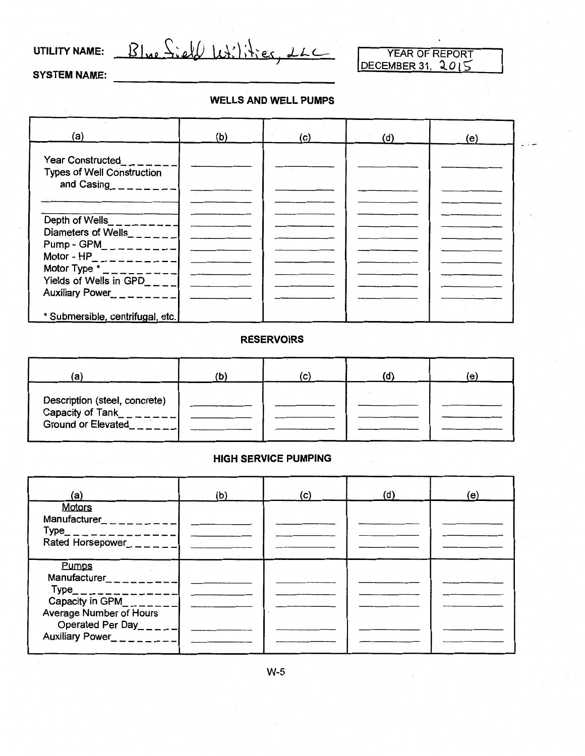UTILITY NAME:  $B|_{\text{Me}}$   $S_i$ ell  $|_{\text{U}}$   $\downarrow$ ;  $|_{\text{V}}$   $\downarrow$ ;  $222$ 

SYSTEM NAME:

#### WELLS AND WELL PUMPS

| (a)                                                                                                                     | (b) | (C) | (d) | (e) |  |
|-------------------------------------------------------------------------------------------------------------------------|-----|-----|-----|-----|--|
| <b>Year Constructed</b><br><b>Types of Well Construction</b><br>and Casing_ $-$ -----                                   |     |     |     |     |  |
| Depth of Wells__________<br>Diameters of Wells______ <br>Pump - GPM_ _ _ _ _ _ _ _ _<br>Motor - $HP_$ _ _ _ _ _ _ _ _ _ |     |     |     |     |  |
| Motor Type $\cdot$ _ _ _ _ _ _ _ _ _ _<br>Yields of Wells in GPD____ <br>Auxiliary Power<br>$       -$                  |     |     |     |     |  |
| * Submersible, centrifugal, etc.                                                                                        |     |     |     |     |  |

#### **RESERVOIRS**

| 'a                                                                             | (C) | (e) |
|--------------------------------------------------------------------------------|-----|-----|
| Description (steel, concrete)<br>Capacity of Tank<br><b>Ground or Elevated</b> |     |     |

#### HIGH SERVICE PUMPING

| (a)                                                                                                                                                                                                                                 | (b) | (c) | (d) | (e) |
|-------------------------------------------------------------------------------------------------------------------------------------------------------------------------------------------------------------------------------------|-----|-----|-----|-----|
| <b>Motors</b><br>Manufacturer <sub>_<math>=-</math></sub> _ _ _ _ _<br>$Type$ <sub>_</sub> _____________<br>Rated Horsepower_ _ _ _ _ _                                                                                             |     |     |     |     |
| Pumps<br>Manufacturer<br>$\_\_$<br>$Type$ <sub>---------</sub><br>Capacity in $GPM_{\_ \_ \_ \_ \_ \_ \_ \_ \_ \_ \_ \_ \_ \_ \_ \_ \_$<br><b>Average Number of Hours</b><br>Operated Per Day_____ <br>Auxiliary Power<br>$      -$ |     |     |     |     |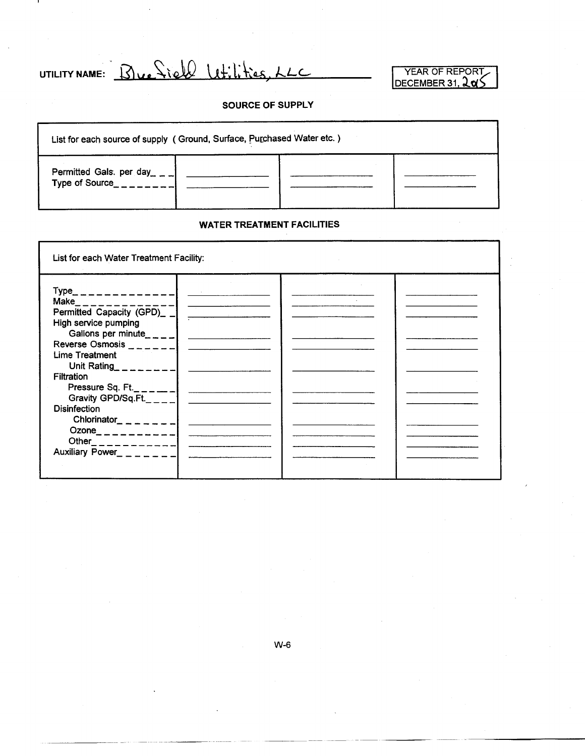UTILITY NAME: Bue Siell Wilities, LLC

YEAR OF REPORT DECEMBER 31, **人o** 

#### SOURCE OF SUPPLY

| List for each source of supply (Ground, Surface, Purchased Water etc.) |  |  |  |  |  |  |
|------------------------------------------------------------------------|--|--|--|--|--|--|
| Permitted Gals. per day __ _<br>Type of Source                         |  |  |  |  |  |  |

#### WATER TREATMENT FACILITIES

| List for each Water Treatment Facility:                                                                                                                                                                                                                                                                                                                    |  |  |
|------------------------------------------------------------------------------------------------------------------------------------------------------------------------------------------------------------------------------------------------------------------------------------------------------------------------------------------------------------|--|--|
| $Type$ <sub>------------</sub><br>Make_ _ _ _ _ _ _ _ _ _ _ _ _<br>Permitted Capacity (GPD)_ _ <br>High service pumping<br>Gallons per minute____ <br>Reverse Osmosis<br>Lime Treatment                                                                                                                                                                    |  |  |
| Unit Rating $\frac{1}{2}$ $\frac{1}{2}$ $\frac{1}{2}$ $\frac{1}{2}$ $\frac{1}{2}$ $\frac{1}{2}$ $\frac{1}{2}$ $\frac{1}{2}$ $\frac{1}{2}$ $\frac{1}{2}$ $\frac{1}{2}$ $\frac{1}{2}$ $\frac{1}{2}$ $\frac{1}{2}$ $\frac{1}{2}$ $\frac{1}{2}$ $\frac{1}{2}$ $\frac{1}{2}$ $\frac{1}{2}$ $\frac{1}{2}$ $\frac{1}{2}$<br><b>Filtration</b><br>Pressure Sq. Ft. |  |  |
| Gravity GPD/Sq.Ft.<br><b>Disinfection</b><br>Chlorinator_ _ _ _ _ _ _                                                                                                                                                                                                                                                                                      |  |  |
| Ozone_ _ _ _ _ _ _ _ _ _ _  <br>Auxiliary Power_ _ _ _ _ _ _                                                                                                                                                                                                                                                                                               |  |  |
|                                                                                                                                                                                                                                                                                                                                                            |  |  |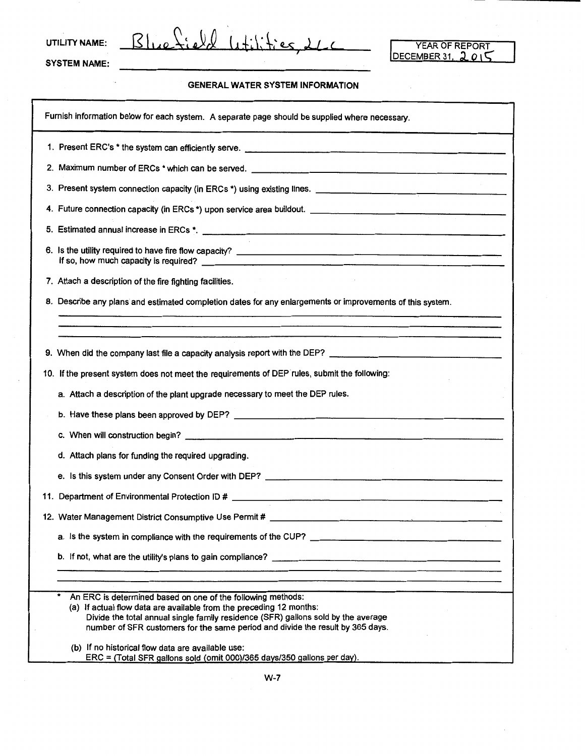UTILITY NAME:  $B|_{\mathcal{U}e}\mathcal{L}_{\mathcal{U}}\ell_{\mathcal{U}}(1+i)$ 

YEAR OF REPORT<br>DECEMBER 31, 2015

SYSTEM NAME:

ò,

#### GENERAL WATER SYSTEM INFORMATION

| Furnish information below for each system. A separate page should be supplied where necessary.                                                                                                                                                                                                                                                                      |
|---------------------------------------------------------------------------------------------------------------------------------------------------------------------------------------------------------------------------------------------------------------------------------------------------------------------------------------------------------------------|
|                                                                                                                                                                                                                                                                                                                                                                     |
| 2. Maximum number of ERCs * which can be served. _______________________________                                                                                                                                                                                                                                                                                    |
|                                                                                                                                                                                                                                                                                                                                                                     |
|                                                                                                                                                                                                                                                                                                                                                                     |
|                                                                                                                                                                                                                                                                                                                                                                     |
|                                                                                                                                                                                                                                                                                                                                                                     |
| 7. Attach a description of the fire fighting facilities.                                                                                                                                                                                                                                                                                                            |
| 8. Describe any plans and estimated completion dates for any enlargements or improvements of this system.                                                                                                                                                                                                                                                           |
|                                                                                                                                                                                                                                                                                                                                                                     |
|                                                                                                                                                                                                                                                                                                                                                                     |
| 9. When did the company last file a capacity analysis report with the DEP? ___________________________________                                                                                                                                                                                                                                                      |
| 10. If the present system does not meet the requirements of DEP rules, submit the following:                                                                                                                                                                                                                                                                        |
| a. Attach a description of the plant upgrade necessary to meet the DEP rules.                                                                                                                                                                                                                                                                                       |
|                                                                                                                                                                                                                                                                                                                                                                     |
|                                                                                                                                                                                                                                                                                                                                                                     |
| d. Attach plans for funding the required upgrading.                                                                                                                                                                                                                                                                                                                 |
|                                                                                                                                                                                                                                                                                                                                                                     |
|                                                                                                                                                                                                                                                                                                                                                                     |
| 12. Water Management District Consumptive Use Permit # __________________________                                                                                                                                                                                                                                                                                   |
| a. Is the system in compliance with the requirements of the CUP?                                                                                                                                                                                                                                                                                                    |
|                                                                                                                                                                                                                                                                                                                                                                     |
|                                                                                                                                                                                                                                                                                                                                                                     |
| *<br>An ERC is determined based on one of the following methods:<br>(a) If actual flow data are available from the preceding 12 months:<br>Divide the total annual single family residence (SFR) gallons sold by the average<br>number of SFR customers for the same period and divide the result by 365 days.<br>(b) If no historical flow data are available use: |
| ERC = (Total SFR gallons sold (omit 000)/365 days/350 gallons per day).                                                                                                                                                                                                                                                                                             |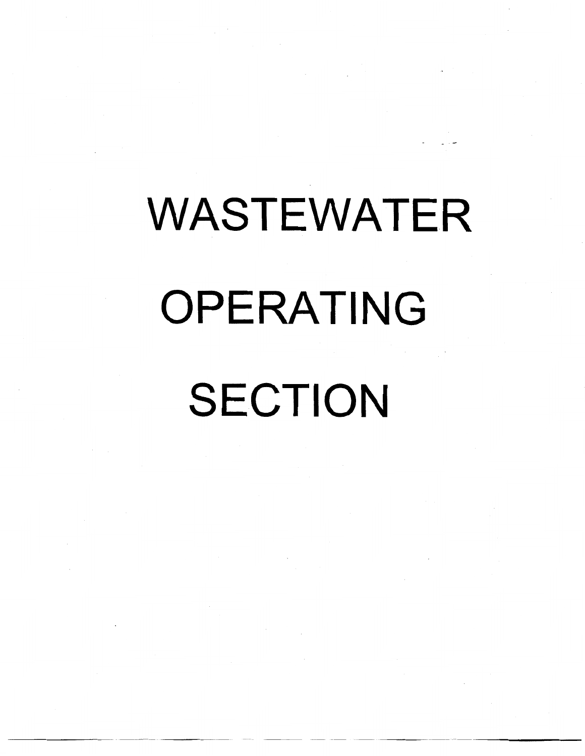# WASTEWATER OPERATING SECTION

-----~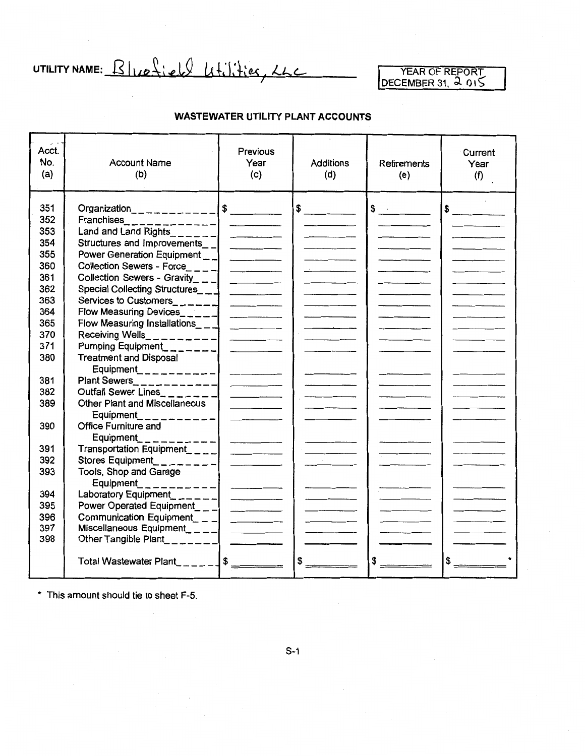UTILITY NAME: Bluefield Utilities, LLC

YEAR OF REPORT  $DECEMBER31,$ ,  $\sim$  015

#### **WASTEWATER UTILITY PLANT ACCOUNTS**

| Acct.<br>No.<br>(a)                                                       | <b>Account Name</b><br>(b)                                                                                                                                                                                                                                                                                         | <b>Previous</b><br>Year<br>(c)                                                                                                                                                                                                                                                                                                                                                                                                                                             | <b>Additions</b><br>(d) | <b>Retirements</b><br>(e) | Current<br>Year<br>(f) |
|---------------------------------------------------------------------------|--------------------------------------------------------------------------------------------------------------------------------------------------------------------------------------------------------------------------------------------------------------------------------------------------------------------|----------------------------------------------------------------------------------------------------------------------------------------------------------------------------------------------------------------------------------------------------------------------------------------------------------------------------------------------------------------------------------------------------------------------------------------------------------------------------|-------------------------|---------------------------|------------------------|
| 351<br>352<br>353<br>354<br>355<br>360<br>361<br>362<br>363<br>364<br>365 | Land and Land Rights_______ <br>Structures and Improvements__ <br>Power Generation Equipment _ _ <br>Collection Sewers - Force____ <br>Collection Sewers - Gravity_ _ _ <br>Special Collecting Structures__1<br>Services to Customers______<br>Flow Measuring Devices______<br>Flow Measuring Installations $\_\_$ |                                                                                                                                                                                                                                                                                                                                                                                                                                                                            | $\frac{1}{2}$           | $\frac{1}{2}$             | $\sim$                 |
| 370                                                                       | Receiving Wells_ _ _ _ _ _ _ _ _ _ _                                                                                                                                                                                                                                                                               |                                                                                                                                                                                                                                                                                                                                                                                                                                                                            |                         |                           |                        |
| 371<br>380                                                                | Pumping Equipment_______<br><b>Treatment and Disposal</b>                                                                                                                                                                                                                                                          |                                                                                                                                                                                                                                                                                                                                                                                                                                                                            |                         |                           |                        |
| 381<br>382<br>389                                                         | Equipment___________<br>Plant Sewers____________<br>Outfall Sewer Lines______<br>Other Plant and Miscellaneous<br>Equipment_________                                                                                                                                                                               | $\mathcal{L} = \mathcal{L} \times \mathcal{L}$ and $\mathcal{L} = \mathcal{L} \times \mathcal{L}$ and $\mathcal{L} = \mathcal{L} \times \mathcal{L}$                                                                                                                                                                                                                                                                                                                       |                         |                           |                        |
| 390                                                                       | <b>Office Furniture and</b><br>Equipment                                                                                                                                                                                                                                                                           |                                                                                                                                                                                                                                                                                                                                                                                                                                                                            |                         |                           |                        |
| 391<br>392<br>393                                                         | Transportation Equipment_ _ _ _  <br>Stores Equipment_________                                                                                                                                                                                                                                                     |                                                                                                                                                                                                                                                                                                                                                                                                                                                                            |                         |                           |                        |
|                                                                           | Tools, Shop and Garage<br>Equipment___________                                                                                                                                                                                                                                                                     |                                                                                                                                                                                                                                                                                                                                                                                                                                                                            |                         |                           |                        |
| 394                                                                       | Laboratory Equipment_______                                                                                                                                                                                                                                                                                        |                                                                                                                                                                                                                                                                                                                                                                                                                                                                            |                         |                           |                        |
| 395                                                                       | Power Operated Equipment___                                                                                                                                                                                                                                                                                        |                                                                                                                                                                                                                                                                                                                                                                                                                                                                            |                         |                           |                        |
| 396                                                                       | Communication Equipment_ _ _ $\Box$                                                                                                                                                                                                                                                                                | $\frac{1}{2} \left( \frac{1}{2} \right) \left( \frac{1}{2} \right) \left( \frac{1}{2} \right) \left( \frac{1}{2} \right) \left( \frac{1}{2} \right) \left( \frac{1}{2} \right) \left( \frac{1}{2} \right) \left( \frac{1}{2} \right) \left( \frac{1}{2} \right) \left( \frac{1}{2} \right) \left( \frac{1}{2} \right) \left( \frac{1}{2} \right) \left( \frac{1}{2} \right) \left( \frac{1}{2} \right) \left( \frac{1}{2} \right) \left( \frac{1}{2} \right) \left( \frac$ |                         |                           |                        |
| 397                                                                       | Miscellaneous Equipment____  __________                                                                                                                                                                                                                                                                            |                                                                                                                                                                                                                                                                                                                                                                                                                                                                            |                         |                           |                        |
| 398                                                                       | Other Tangible Plant________  ______                                                                                                                                                                                                                                                                               |                                                                                                                                                                                                                                                                                                                                                                                                                                                                            |                         |                           |                        |
|                                                                           | Total Wastewater Plant________ \$ _______                                                                                                                                                                                                                                                                          |                                                                                                                                                                                                                                                                                                                                                                                                                                                                            | \$                      |                           | $$ -$                  |

\* This amount should tie to sheet F-5.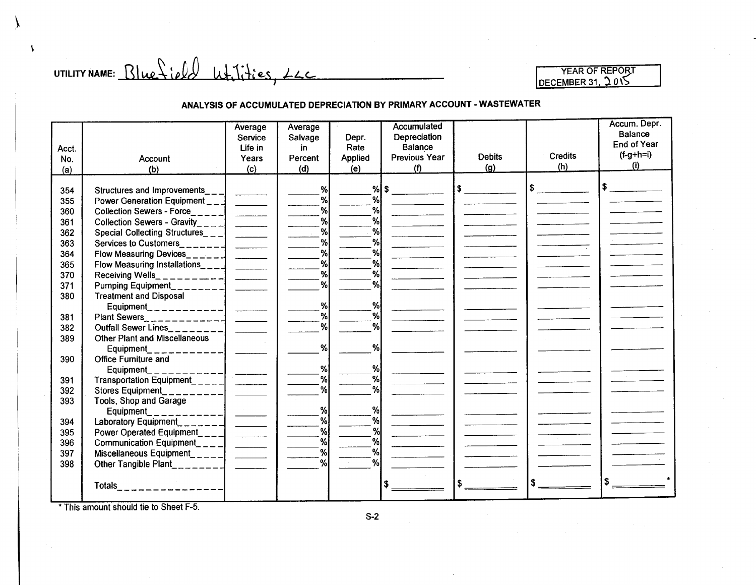UTILITY NAME:  $Blue\$ ield  $u\text{+}$ ities,  $L_{\text{L}}$ 

 $\mathbf{r}$ 

\.

#### **ANALYSIS OF ACCUMULATED DEPRECIATION BY PRIMARY ACCOUNT- WASTEWATER**

|       |                                      | Average                  | Average |         | <b>Accumulated</b>   |               |         | Accum. Depr.   |
|-------|--------------------------------------|--------------------------|---------|---------|----------------------|---------------|---------|----------------|
|       |                                      | Service                  | Salvage | Depr.   | Depreciation         |               |         | <b>Balance</b> |
| Acct. |                                      | Life in                  | in.     | Rate    | <b>Balance</b>       |               |         | End of Year    |
| No.   | Account                              | Years                    | Percent | Applied | <b>Previous Year</b> | <b>Debits</b> | Credits | $(f-g+h=i)$    |
| (a)   | (b)                                  | (c)                      | (d)     | (e)     | (1)                  | (g)           | (h)     | (i)            |
|       |                                      |                          |         |         |                      |               |         |                |
| 354   | Structures and Improvements_         |                          | %       |         | %   \$               |               |         | \$∶            |
| 355   | Power Generation Equipment           |                          | %       | %       |                      |               |         |                |
| 360   | <b>Collection Sewers - Force</b>     | $\overline{\phantom{a}}$ | %       | %       |                      |               |         |                |
| 361   | Collection Sewers - Gravity_         |                          | %       | %       |                      |               |         |                |
| 362   | Special Collecting Structures_ $-$   |                          | %       | %       |                      |               |         |                |
| 363   | Services to Customers                |                          | %       | %       |                      |               |         |                |
| 364   | Flow Measuring Devices______         |                          | %       | %       |                      |               |         |                |
| 365   | Flow Measuring Installations____     |                          | %       | $\%$    |                      |               |         |                |
| 370   | Receiving Wells_                     |                          | %       | %       |                      |               |         |                |
| 371   | Pumping Equipment                    |                          | %       | %       |                      |               |         |                |
| 380   | <b>Treatment and Disposal</b>        |                          |         |         |                      |               |         |                |
|       | Equipment ____________               |                          | %       | %       |                      |               |         |                |
| 381   |                                      |                          | %       | %       |                      |               |         |                |
| 382   | <b>Outfall Sewer Lines</b>           |                          | %       | %       |                      |               |         |                |
| 389   | <b>Other Plant and Miscellaneous</b> |                          |         |         |                      |               |         |                |
|       | Equipment                            |                          | %       | %       |                      |               |         |                |
| 390   | Office Furniture and                 |                          |         |         |                      |               |         |                |
|       | Equipment_                           |                          | %       | %       |                      |               |         |                |
| 391   | Transportation Equipment____         |                          | %       | %       |                      |               |         |                |
| 392   | <b>Stores Equipment</b>              |                          | ℆       | %       |                      |               |         |                |
| 393   | Tools, Shop and Garage               |                          |         |         |                      |               |         |                |
|       | <b>Equipment</b>                     |                          | %       | %       |                      |               |         |                |
| 394   | Laboratory Equipment_                |                          | $\%$    | $\%$    |                      |               |         |                |
| 395   | Power Operated Equipment____         |                          | %       | %       |                      |               |         |                |
| 396   | Communication Equipment_ $\_$        |                          | %       | %       |                      |               |         |                |
| 397   | Miscellaneous Equipment_____         |                          | %       | %       |                      |               |         |                |
| 398   | Other Tangible Plant                 |                          | %       | %∣      |                      |               |         |                |
|       | <b>Totals</b>                        |                          |         |         |                      |               |         |                |
|       |                                      |                          |         |         |                      |               |         |                |

\*This amount should tie to Sheet F-5.

S-2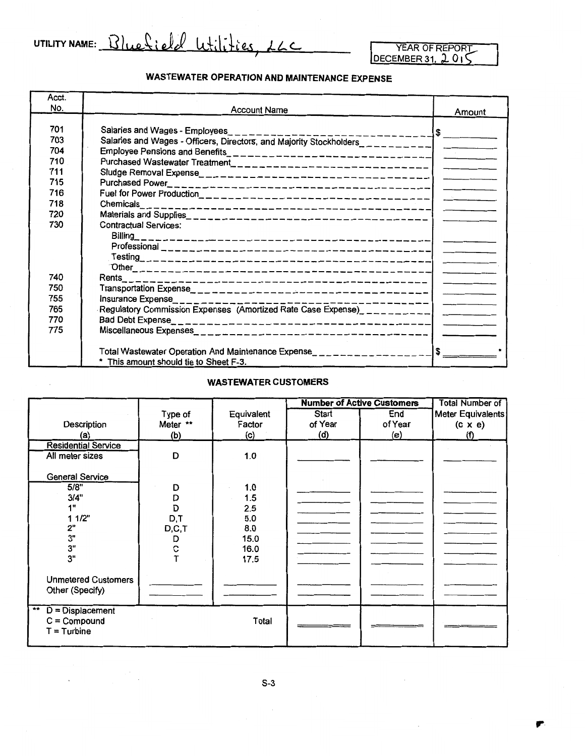UTILITY NAME: Bluefield Wilities, LLC

,.

#### **WASTEWATER OPERATION AND MAINTENANCE EXPENSE**

| Acct. |                                                                                   |                                   |
|-------|-----------------------------------------------------------------------------------|-----------------------------------|
| No.   | <b>Account Name</b>                                                               | Amount                            |
|       |                                                                                   |                                   |
| 701   | Salaries and Wages - Employees<br>----------------                                | $\sqrt{2}$                        |
| 703   | Salaries and Wages - Officers, Directors, and Majority Stockholders___________    |                                   |
| 704   |                                                                                   |                                   |
| 710   |                                                                                   |                                   |
| 711   |                                                                                   |                                   |
| 715   |                                                                                   |                                   |
| 716   |                                                                                   |                                   |
| 718   | Chemicals                                                                         |                                   |
| 720   |                                                                                   |                                   |
| 730   | <b>Contractual Services:</b>                                                      |                                   |
|       | $Billing_{-}$                                                                     |                                   |
|       |                                                                                   |                                   |
|       |                                                                                   |                                   |
|       |                                                                                   |                                   |
| 740   |                                                                                   |                                   |
| 750   |                                                                                   |                                   |
| 755   | Insurance Expense_____________<br>------------I                                   | the company of the company of the |
| 765   | Regulatory Commission Expenses (Amortized Rate Case Expense)_____________________ |                                   |
| 770   |                                                                                   |                                   |
| 775   |                                                                                   |                                   |
|       |                                                                                   |                                   |
|       | Total Wastewater Operation And Maintenance Expense__________________              | \$                                |
|       | * This amount should tie to Sheet F-3.                                            |                                   |

#### **WASTEWATER CUSTOMERS**

|                                                                |          |            |         | <b>Number of Active Customers</b> | <b>Total Number of</b> |
|----------------------------------------------------------------|----------|------------|---------|-----------------------------------|------------------------|
|                                                                | Type of  | Equivalent | Start   | End                               | Meter Equivalents      |
| Description                                                    | Meter ** | Factor     | of Year | of Year                           | $(c \times e)$         |
| (a)                                                            | (b)      | (c)        | (d)     | (e)                               | (f)                    |
| <b>Residential Service</b>                                     |          |            |         |                                   |                        |
| All meter sizes                                                | D        | 1.0        |         |                                   |                        |
| <b>General Service</b><br>5/8"                                 | D        | 1.0        |         |                                   |                        |
| 3/4"                                                           | D        | 1.5        |         |                                   |                        |
| 1"                                                             | D        | 2.5        |         |                                   |                        |
| 11/2"                                                          | D,T      | 5.0        |         |                                   |                        |
| 2"                                                             | D,C,T    | 8.0        |         |                                   |                        |
| 3"                                                             | D        | 15.0       |         |                                   |                        |
| 3"                                                             | с        | 16.0       |         |                                   |                        |
| 3"                                                             |          | 17.5       |         |                                   |                        |
| <b>Unmetered Customers</b><br>Other (Specify)                  |          |            |         |                                   |                        |
| $***$<br>$D = Displacement$<br>$C = Compound$<br>$T =$ Turbine |          | Total      |         |                                   |                        |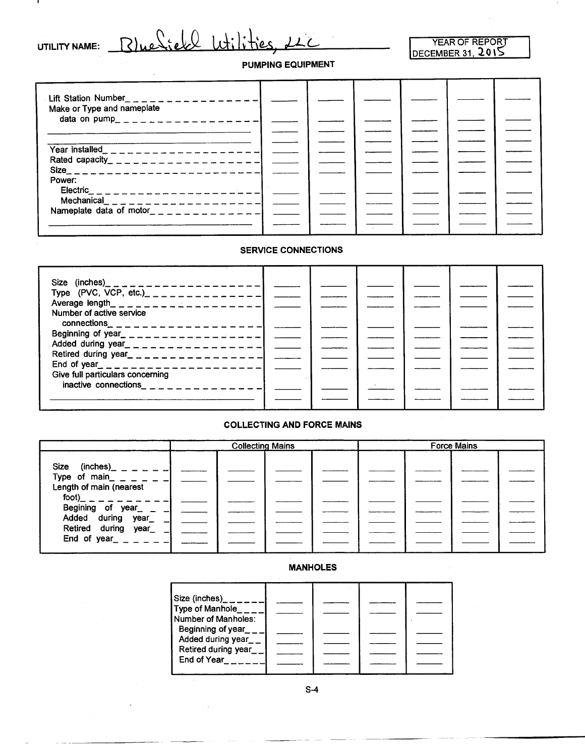| <b>UTILITY NAME:</b> |  |  |
|----------------------|--|--|
|                      |  |  |

n.

#### Blue Sieke Wilities, 21  $\mathcal{L}_{-}$

#### YEAR OF REPOR]" <u>DECEMBER 31, 2015</u>

#### PUMPING EQUIPMENT

| Lift Station Number <sub>_1</sub> _ _ _ _ _ _ _ _ _ _ _ _ _ _ _<br>Make or Type and nameplate |  |  |  |  |
|-----------------------------------------------------------------------------------------------|--|--|--|--|
| data on pump_ _ _ _ _ _ _ _ _ _ _ _ _ _ _ _ _                                                 |  |  |  |  |
|                                                                                               |  |  |  |  |
|                                                                                               |  |  |  |  |
|                                                                                               |  |  |  |  |
| Rated capacity_ _ _ _ _ _ _ _ _ _ _ _ _ _ _ _ _ _ _                                           |  |  |  |  |
|                                                                                               |  |  |  |  |
| Power:                                                                                        |  |  |  |  |
|                                                                                               |  |  |  |  |
|                                                                                               |  |  |  |  |
|                                                                                               |  |  |  |  |
|                                                                                               |  |  |  |  |
|                                                                                               |  |  |  |  |

#### SERVICE CONNECTIONS

| Type (PVC, VCP, etc.) _ _ _ _ _ _ _ _ _ _ _ _ _ _ _ _ _  |  |  |  |
|----------------------------------------------------------|--|--|--|
|                                                          |  |  |  |
| Number of active service                                 |  |  |  |
|                                                          |  |  |  |
| Beginning of year<br>$-$ - - - - - - - - - - - - - - - - |  |  |  |
| Added during year_ _ _ _ _ _ _ _ _ _ _ _ _ _ _ _ _ _     |  |  |  |
|                                                          |  |  |  |
|                                                          |  |  |  |
| Give full particulars concerning                         |  |  |  |
| inactive connections                                     |  |  |  |
|                                                          |  |  |  |
|                                                          |  |  |  |
|                                                          |  |  |  |

#### COLLECTING AND FORCE MAINS

|                                                                                                                                                                                                                                                                                                  | <b>Collecting Mains</b> |  |  |  | <b>Force Mains</b> |  |  |
|--------------------------------------------------------------------------------------------------------------------------------------------------------------------------------------------------------------------------------------------------------------------------------------------------|-------------------------|--|--|--|--------------------|--|--|
| Size (inches) $    -$<br>Type of main_ _ _ _ _ _ _<br>Length of main (nearest<br>$\frac{1}{1000}$ - - - - - - -<br>Begining of year $\begin{bmatrix} - & - \\ - & - \end{bmatrix}$<br>Added during year $\begin{bmatrix} - \\ - \end{bmatrix}$<br>Retired during year_<br>End of year_ _ _ _ _ _ |                         |  |  |  |                    |  |  |

#### MANHOLES

| Size (inches) <sub><math>\_\_\_\_\_\_\_\_\_\_\_</math></sub><br>Type of Manhole<br>Number of Manholes:<br>Beginning of year<br>Added during year__<br>Retired during year__ |  |  |
|-----------------------------------------------------------------------------------------------------------------------------------------------------------------------------|--|--|
|                                                                                                                                                                             |  |  |
| End of Year                                                                                                                                                                 |  |  |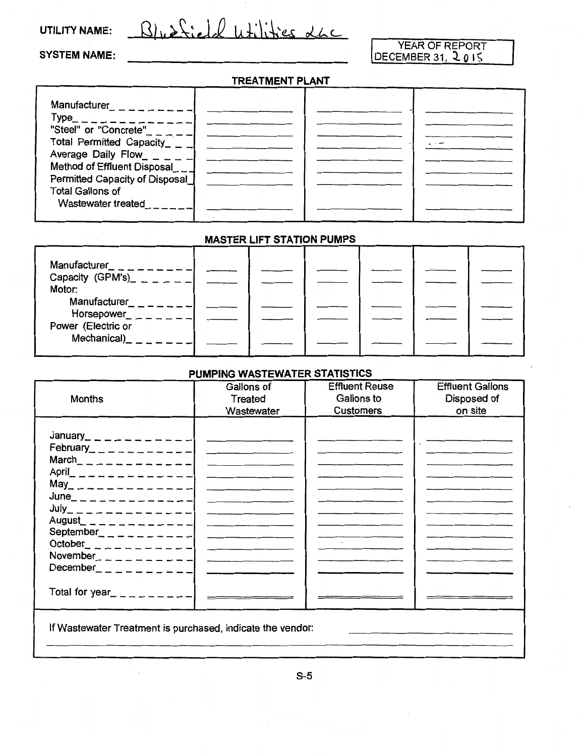#### UTILITY NAME:

Bluefield utilities 26C

#### SYSTEM NAME:

# YEAR OF REPORT<br><u>DECEMBER 31, 2015</u>

#### TREATMENT PLANT

| Manufacturer                                                  |  |  |
|---------------------------------------------------------------|--|--|
|                                                               |  |  |
| Type <b>The Communist Structure</b><br>"Steel" or "Concrete"  |  |  |
|                                                               |  |  |
| Total Permitted Capacity<br>Average Daily Flow_ _ _           |  |  |
|                                                               |  |  |
| Method of Effluent Disposal<br>Permitted Capacity of Disposal |  |  |
|                                                               |  |  |
| <b>Total Gallons of</b>                                       |  |  |
| Wastewater treated                                            |  |  |
|                                                               |  |  |

#### MASTER LIFT STATION PUMPS

| Manufacturer_<br>Capacity (GPM's)_ $-$ _ _ |  |  |  |
|--------------------------------------------|--|--|--|
| Motor:<br>Manufacturer<br>Horsepower_      |  |  |  |
| Power (Electric or<br>Mechanical)          |  |  |  |
|                                            |  |  |  |

#### PUMPING WASTEWATER STATISTICS

| <b>Months</b>                                                                                                                                                                                                                                                                                                                                                                                                                                                                         | Gallons of<br>Treated<br>Wastewater                 | <b>Effluent Reuse</b><br>Gallons to<br><b>Customers</b> | <b>Effluent Gallons</b><br>Disposed of<br>on site |
|---------------------------------------------------------------------------------------------------------------------------------------------------------------------------------------------------------------------------------------------------------------------------------------------------------------------------------------------------------------------------------------------------------------------------------------------------------------------------------------|-----------------------------------------------------|---------------------------------------------------------|---------------------------------------------------|
| January_ _ _ _ _ _ _ _ _ _ _ _ _<br>February_ _ _ _ _ _ _ _ _ _ _ _ _ _<br>March _ _ _ _ _ _ _ _ _ _ _ _ _ _ _<br>April_ _ _ _ _ _ _ _ _ _ _ _ _ _ _<br>May _ _ _ _ _ _ _ _ _ _ _ _ _ _ _ _<br>June_ _ _ _ _ _ _ _ _ _ _ _ _ _ _<br>$July_{-}$ $-- -- -- -- ---$<br>August_ _ _ _ _ _ _ _ _ _ _ _ _ _<br>September <sub>------</sub> ----<br>October _ _ _ _ _ _ _ _ _ _ _ _ _ _<br>November <sub>--------</sub><br>December $- - - - - - - - -$<br>Total for year_ _ _ _ _ _ _ _ _ _ | the contract of the contract of the contract of the |                                                         |                                                   |
| If Wastewater Treatment is purchased, indicate the vendor:                                                                                                                                                                                                                                                                                                                                                                                                                            |                                                     |                                                         |                                                   |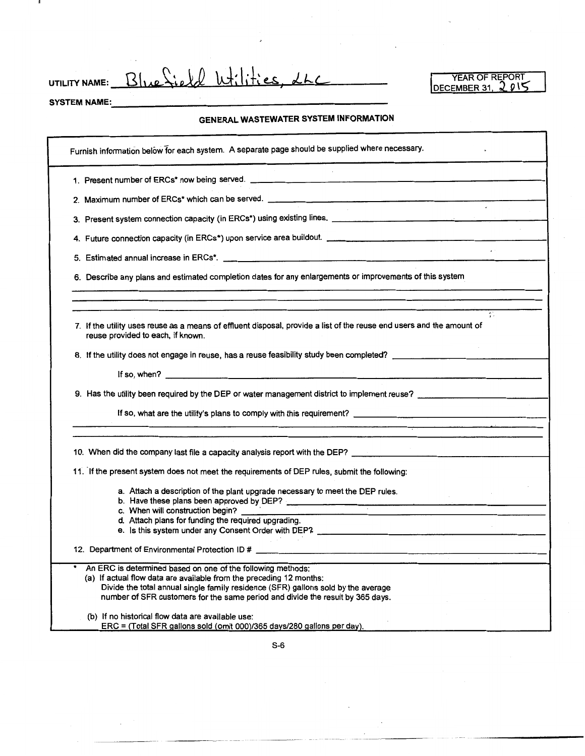UTILITY NAME: Blue Sield Wilities, LLC

SYSTEM NAME:

#### **GENERAL WASTEWATER SYSTEM INFORMATION**

| Furnish information below for each system. A separate page should be supplied where necessary.                                                                                                                                                                                                            |
|-----------------------------------------------------------------------------------------------------------------------------------------------------------------------------------------------------------------------------------------------------------------------------------------------------------|
|                                                                                                                                                                                                                                                                                                           |
| $\mathbf{r}$                                                                                                                                                                                                                                                                                              |
|                                                                                                                                                                                                                                                                                                           |
|                                                                                                                                                                                                                                                                                                           |
|                                                                                                                                                                                                                                                                                                           |
| 6. Describe any plans and estimated completion dates for any enlargements or improvements of this system                                                                                                                                                                                                  |
| ť.                                                                                                                                                                                                                                                                                                        |
| 7. If the utility uses reuse as a means of effluent disposal, provide a list of the reuse end users and the amount of<br>reuse provided to each, if known.                                                                                                                                                |
| 8. If the utility does not engage in reuse, has a reuse feasibility study been completed? _________                                                                                                                                                                                                       |
| If so, when? $\qquad \qquad$                                                                                                                                                                                                                                                                              |
|                                                                                                                                                                                                                                                                                                           |
|                                                                                                                                                                                                                                                                                                           |
| 10. When did the company last file a capacity analysis report with the DEP? _________________________________                                                                                                                                                                                             |
| 11. If the present system does not meet the requirements of DEP rules, submit the following:                                                                                                                                                                                                              |
| a. Attach a description of the plant upgrade necessary to meet the DEP rules.<br>b. Have these plans been approved by DEP?                                                                                                                                                                                |
| c. When will construction begin?<br>d. Attach plans for funding the required upgrading.                                                                                                                                                                                                                   |
|                                                                                                                                                                                                                                                                                                           |
|                                                                                                                                                                                                                                                                                                           |
| An ERC is determined based on one of the following methods:<br>(a) If actual flow data are available from the preceding 12 months:<br>Divide the total annual single family residence (SFR) gallons sold by the average<br>number of SFR customers for the same period and divide the result by 365 days. |
| (b) If no historical flow data are available use:<br>ERC = (Total SFR gallons sold (omit 000)/365 days/280 gallons per day).                                                                                                                                                                              |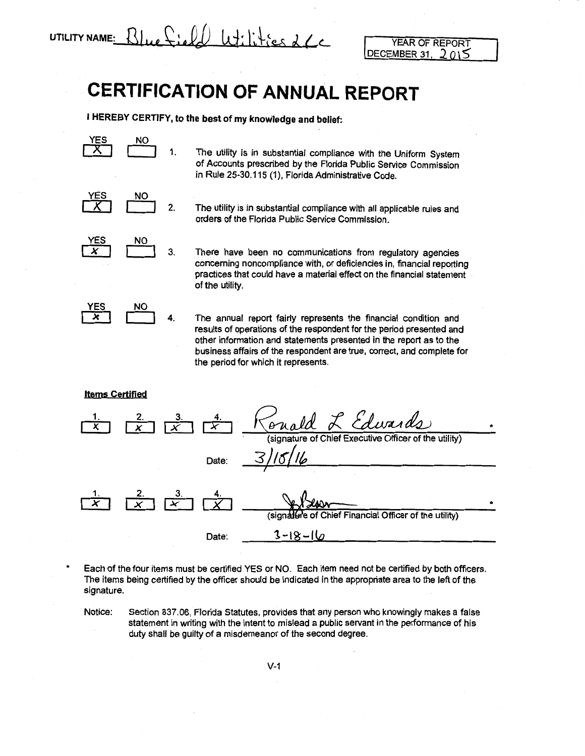$u_t$ ilities 26 **UTILITY NAME:** 

YEAR OF REPORT DECEMBER 31.

# **CERTIFICATION OF ANNUAL REPORT**

**I HEREBY CERTIFY, to the best of my knowledge and belief:** 

<u>YES</u>  $\overline{X}$ **NO** 1.

The utility is in substantial compliance with the Uniform System of Accounts prescribed by the Florida Public Service Commission in Rule 25-30.115 (1), Florida Administrative Code.

<u>YES</u>  $\overline{X}$ NO **c=J** 2.

The utility is in substantial compliance with all applicable rules and orders of the Florida Public Service Commission.

YES  $\frac{1}{x}$ **ho** 3.

There have been no communications from regulatory agencies concerning noncompliance with, or deficiencies in, financial reporting practices that could have a material effect on the financial statement of the utility.

YES  $\overline{\textbf{x}}$ <u>NO</u> 4.

The annual report fairly represents the financial condition and results of operations of the respondent for the period presented and other information and statements presented in the report as to the business affairs of the respondent are true, correct, and complete for the period for which it represents.

#### **Items Certified**

\*



Each of the four items must be certified YES or NO. Each item need not be certified by both officers. The items being certified by the officer should be indicated in the appropriate area to the left of the signature.

Notice: Section 837.06, Florida Statutes, provides that any person who knowingly makes a false statement in writing with the intent to mislead a public servant in the performance of his duty shall be guilty of a misdemeanor of the second degree.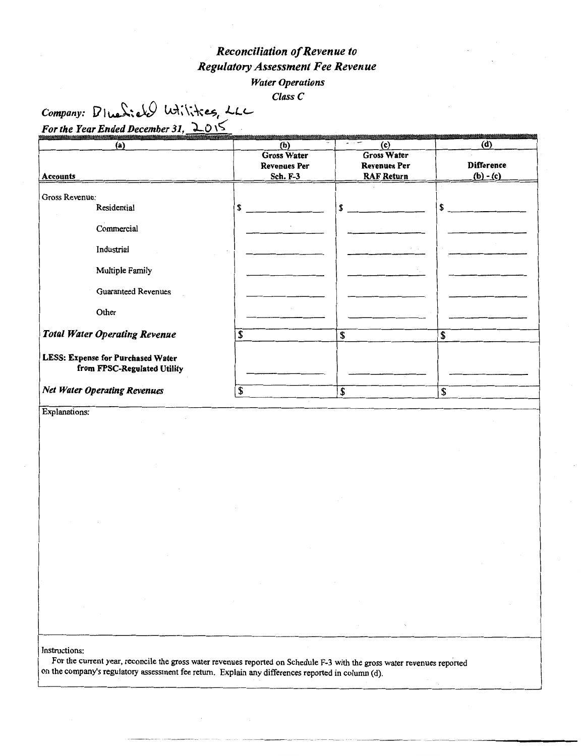### *Reconciliation of Revenue to Regulatory Assessment Fee Revenue Water Operations*

*Class C* 

*Company: 1*/1 *Letiers*, *LLC For the Year Ended December 31, 2015* 

| (a)                                                              | (b)                                       | (c)                                       | (d)               |
|------------------------------------------------------------------|-------------------------------------------|-------------------------------------------|-------------------|
|                                                                  | <b>Gross Water</b><br><b>Revenues Per</b> | <b>Gross Water</b><br><b>Revenues Per</b> | <b>Difference</b> |
| Accounts                                                         | <b>Sch. F-3</b>                           | <b>RAF Return</b>                         | $(b) - (c)$       |
| Gross Revenue:<br>Residential                                    | \$                                        | \$                                        | S                 |
| Commercial<br>Industrial                                         |                                           | $\mathcal{F} = \mathcal{F}$               |                   |
| Multiple Family                                                  |                                           |                                           |                   |
| <b>Guaranteed Revenues</b>                                       |                                           |                                           |                   |
| Other                                                            |                                           |                                           |                   |
| <b>Total Water Operating Revenue</b>                             | \$                                        | \$                                        | \$                |
| LESS: Expense for Purchased Water<br>from FPSC-Regulated Utility |                                           |                                           |                   |
| <b>Net Water Operating Revenues</b>                              | \$                                        | \$                                        | \$                |

Explanations:

Instructions:

For the current year, reconcile the gross water revenues reported on Schedule F-3 with the gross water revenues reported on the company's regulatory assessment fee return. Explain any differences reported in column (d).

---------- --------